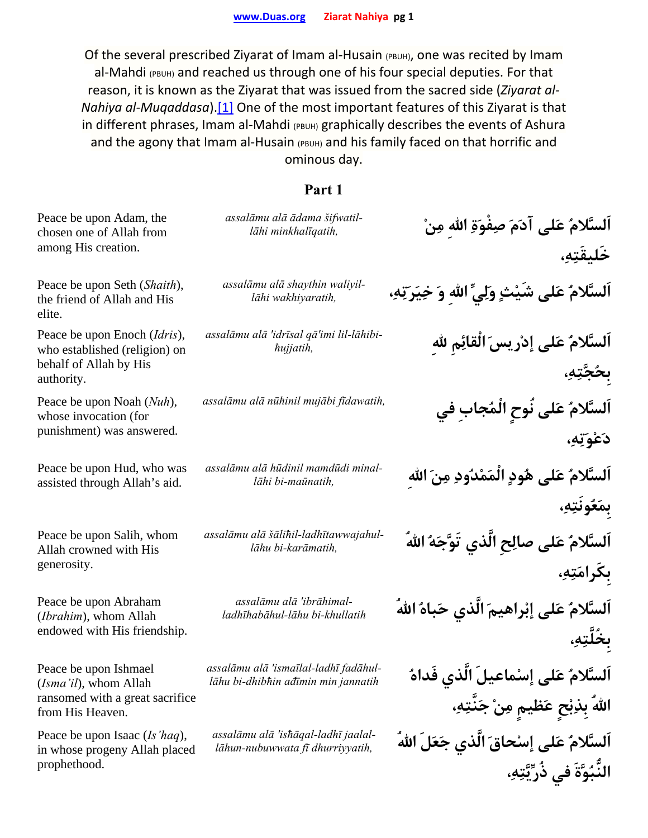Of the several prescribed Ziyarat of Imam al-Husain (PBUH), one was recited by Imam al-Mahdi (PBUH) and reached us through one of his four special deputies. For that reason, it is known as the Ziyarat that was issued from the sacred side (*Ziyarat al‐ Nahiya al‐Muqaddasa*).[1] One of the most important features of this Ziyarat is that in different phrases, Imam al-Mahdi (PBUH) graphically describes the events of Ashura and the agony that Imam al-Husain (PBUH) and his family faced on that horrific and ominous day.

| Peace be upon Adam, the<br>chosen one of Allah from<br>among His creation.                            | assalāmu alā ādama šifwatil-<br>lāhi minkhalīgatih,                          | اَلسَّلامُ عَلى آدَمَ صِفْوَةِ اللهِ مِنْ<br>خَليقَتِهِ،                                                               |
|-------------------------------------------------------------------------------------------------------|------------------------------------------------------------------------------|------------------------------------------------------------------------------------------------------------------------|
| Peace be upon Seth (Shaith),<br>the friend of Allah and His<br>elite.                                 | assalāmu alā shaythin waliyil-<br>lāhi wakhiyaratih,                         | اَلسَّلامُ عَلى شَيْتٍ وَلِيِّ اللهِ وَ خِيَرَتِهِ،                                                                    |
| Peace be upon Enoch (Idris),<br>who established (religion) on<br>behalf of Allah by His<br>authority. | assalāmu alā 'idrīsal qā'imi lil-lāhibi-<br><i>hujjatih</i> ,                | اَلسَّلامُ عَلى إدْرِيسَ الْقَائِمِ للهِ<br><b>بځ</b> ېتو،                                                             |
| Peace be upon Noah (Nuh),<br>whose invocation (for<br>punishment) was answered.                       | assalāmu alā nūhinil mujābi fīdawatih,                                       | اَلسَّلامُ عَلى نُوحٍ الْمُجابِ في<br>دَعْوَيْهِ،                                                                      |
| Peace be upon Hud, who was<br>assisted through Allah's aid.                                           | assalāmu alā hūdinil mamdūdi minal-<br>lāhi bi-maūnatih,                     | السَّلامُ عَلى هُودٍ الْمَمْدُودِ مِنَ اللهِ<br>بِمَعُونَتِهِ،                                                         |
| Peace be upon Salih, whom<br>Allah crowned with His<br>generosity.                                    | assalāmu alā šālihil-ladhītawwajahul-<br>lāhu bi-karāmatih,                  | اَلسَّلامُ عَلى صالِحِ الَّذي تَوَّجَهُ اللهُ<br>بِكَرامَتِهِ،                                                         |
| Peace be upon Abraham<br>(Ibrahim), whom Allah<br>endowed with His friendship.                        | assalāmu alā 'ibrāhimal-<br>ladhīhabāhul-lāhu bi-khullatih                   | ٱلسَّلامُ عَلى إبْراهيمَ الَّذي حَباهُ اللهُ<br>بخَلْتِهِ،                                                             |
| Peace be upon Ishmael<br>(Isma'il), whom Allah<br>ransomed with a great sacrifice<br>from His Heaven. | assalāmu alā 'ismaīlal-ladhī fadāhul-<br>lāhu bi-dhibhin ađīmin min jannatih | اَلسَّلامُ عَلى إِسْماعيلَ الَّذي فَداهُ                                                                               |
| Peace be upon Isaac (Is 'haq),<br>in whose progeny Allah placed<br>prophethood.                       | assalāmu alā 'ishāqal-ladhī jaalal-<br>lāhun-nubuwwata fī dhurriyyatih,      | اللهُ بِذِبْحٍ عَظيمٍ مِنْ جَنَّتِهِ،<br>اَلسَّلامُ عَلى إِسْحاقَ الَّذي جَعَلَ اللهُ<br>النَّبُوَّةَ في ذُرِّيَّتِهِ، |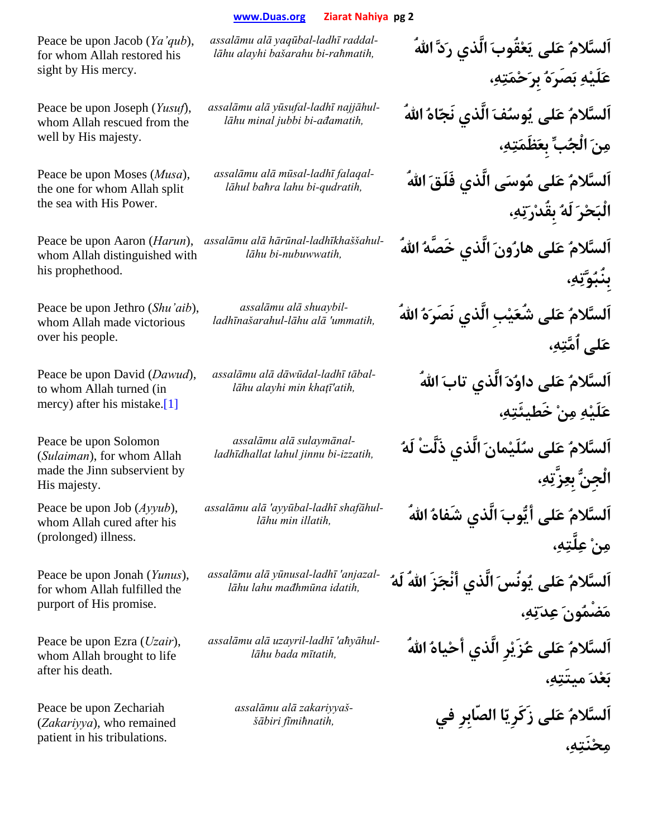Peace be upon Jacob (*Ya'qub*), for whom Allah restored his sight by His mercy.

Peace be upon Joseph (*Yusuf*), whom Allah rescued from the well by His majesty.

Peace be upon Moses (*Musa*), the one for whom Allah split the sea with His Power.

Peace be upon Aaron (*Harun*), whom Allah distinguished with his prophethood.

Peace be upon Jethro (*Shu'aib*), whom Allah made victorious over his people.

Peace be upon David (*Dawud*), to whom Allah turned (in mercy) after his mistake.[1]

Peace be upon Solomon (*Sulaiman*), for whom Allah made the Jinn subservient by His majesty.

Peace be upon Job (*Ayyub*), whom Allah cured after his (prolonged) illness.

Peace be upon Jonah (*Yunus*), for whom Allah fulfilled the purport of His promise.

Peace be upon Ezra (*Uzair*), whom Allah brought to life after his death.

Peace be upon Zechariah (*Zakariyya*), who remained patient in his tribulations.

*raddal ladhī-yaqūbal alā assalāmu*

*najjāhul ladhī-yūsufal alā assalāmu*

*assalāmu alā mūsal-ladhī falaqal-*

*ladhīkhaššahul-hārūnal alā assalāmu*

*shuaybil alā assalāmu*

*assalāmu alā dāwūdal-ladhī tābal-*

*sulaymānal alā assalāmu*

*assalāmu alā 'ayyūbal-ladhī shafāhul-*

*anjazal 'ladhī-yūnusal alā assalāmu*

*aħyāhul 'ladhī-uzayril alā assalāmu*

*zakariyyaš alā assalāmu*

**اَلسَّلامُ عَلى يَعْقُوبَ الَّذي رَدَّ االلهُ** *,raħmatih-bi bašarahu alayhi lāhu-***عَلَيْهِ بَصَرَهُ بِرَحْمَتِه،ِ اَلسَّلامُ عَلى يُوسُفَ الَّذي نَجّاهُ االلهُ** *,ađamatih-bi jubbi minal lāhu-***مِنَ الْجُبِّ بِعَظَمَتِه،ِ** *<sup>l</sup>āhul baħra lahu bi-qudratih,* **ُاالله َفَلَق الَّذي ىَوسُم لىَع ُاَلسَّلام الْبَحْرَ لَهُ بِقُدْرَتِه،ِ اَلسَّلامُ عَلى هارُونَ الَّذي خَصَّهُ االلهُ** *,nubuwwatih-bi lāhu-***بِنُبُوَّتِه،ِ اَلسَّلامُ عَلى شُعَيْبِ الَّذي نَصَرَهُ االلهُ** *,ummatih 'alā lāhu-ladhīnašarahul-***عَلى اُمَّتِه،ِ** *<sup>l</sup>āhu alayhi min khaţī'atih,* **ُاالله َتاب الَّذي َدُداو لىَع ُاَلسَّلام عَلَيْهِ مِنْ خَطيئَتِه،ِ اَلسَّلامُ عَلى سُلَيْمانَ الَّذي ذَلَّتْ لَهُ** *,izzatih-bi jinnu lahul ladhīdhallat-***الْجِنُّ بِعِزَّتِه،ِ** *<sup>l</sup>āhu min illatih,* **ُاالله ُشَفاه الَّذي َأيُّوب لىَع ُاَلسَّلام مِنْ عِلَّتِه،ِ اَلسَّلامُ عَلى يُونُسَ الَّذي أنْجَزَ االلهُ لَهُ** *,idatih mađhmūna lahu lāhu-***مَضْمُونَ عِدَتِه،ِ اَلسَّلامُ عَلى عُزَيْرِ الَّذي أحْياهُ االلهُ** *,mītatih bada lāhu-***بَعْدَ ميتَتِه،ِ اَلسَّلامُ عَلى زَكَرِيّا الصّابِرِ في** *,fīmiħnatih šābiri-***مِحْنَتِه،ِ**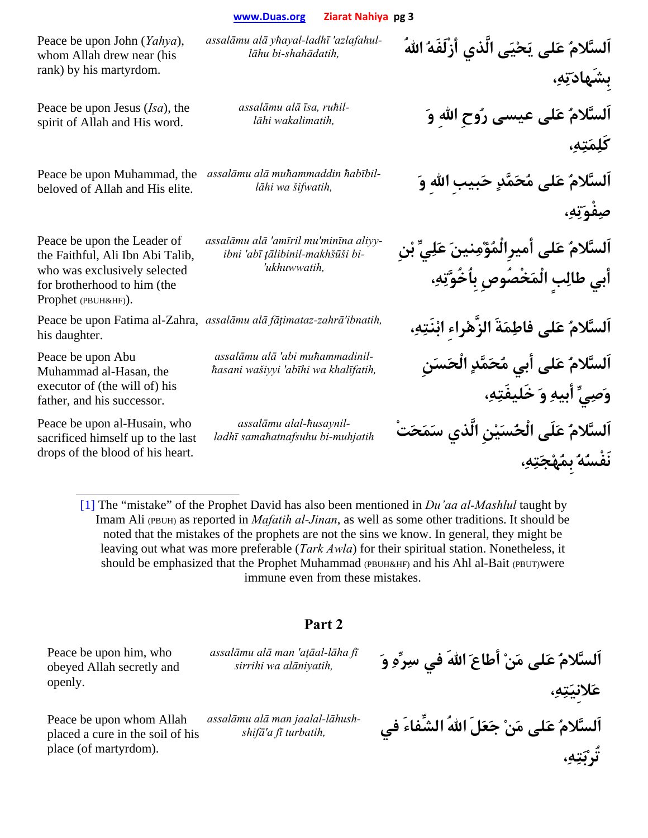Peace be upon John (*Yahya*), whom Allah drew near (his rank) by his martyrdom.

Peace be upon Jesus (*Isa*), the spirit of Allah and His word.

beloved of Allah and His elite.

Peace be upon the Leader of the Faithful, Ali Ibn Abi Talib, who was exclusively selected for brotherhood to him (the Prophet (PBUH&HF)).

Peace be upon Fatima al-Zahra, assalāmu alā fāțimataz-zahrā'ibnatih, his daughter.

Peace be upon Abu Muhammad al-Hasan, the executor of (the will of) his father, and his successor.

Peace be upon al-Husain, who sacrificed himself up to the last drops of the blood of his heart.

**اَلسَّلامُ عَلى يَحْيَى الَّذي أزْلَفَهُ االلهُ** *,shahādatih-bi lāhuazlafahul 'ladhī-yħayal alā assalāmu*

*ruħil ,īsa alā assalāmu*

Peace be upon Muhammad, the *ħabībil muħammaddin alā assalāmu*

*assalāmu alā 'amīril mu'minīna aliyyibni 'abī ţālibinil-makhšūši bi- 'ukhuwwatih,*

*muħammadinil abi 'alā assalāmu*

*ħusaynil-alal assalāmu*

**بِشَهادَتِه،ِ اَلسَّلامُ عَلى عيسى رُوحِ االلهِ وَ** *,wakalimatih lāhi-***كَلِمَتِه،ِ اَلسَّلامُ عَلى مُحَمَّدٍ حَبيبِ االلهِ وَ** *,šifwatih wa lāhi-***صِفْوَتِه،ِ اَلسَّلامُ عَلى أميرِالْمُؤْمِنينَ عَلِيِّ بْنِ أبي طالِبٍ الْمَخْصُوصِ بِاُخُوَّتِه،ِ اَلسَّلامُ عَلى فاطِمَةَ الزَّهْراءِ ابْنَتِه،ِ** *,ibnatih'zahrā-fāţimataz alā assalāmu* **اَلسَّلامُ عَلى أبي مُحَمَّدٍ الْحَسَنِ** *,khalīfatih wa abīhi 'wašiyyi ħasani-***وَصِيِّ أبيهِ وَ خَليفَتِه،ِ اَلسَّلامُ عَلَى الْحُسَيْنِ الَّذي سَمَحَتْ** *muhjatih-bi samaħatnafsuhu ladhī-***نَفْسُهُ بِمُهْجَتِه،ِ**

[1] The "mistake" of the Prophet David has also been mentioned in *Du'aa al-Mashlul* taught by Imam Ali (PBUH) as reported in *Mafatih al-Jinan*, as well as some other traditions. It should be noted that the mistakes of the prophets are not the sins we know. In general, they might be leaving out what was more preferable (*Tark Awla*) for their spiritual station. Nonetheless, it should be emphasized that the Prophet Muhammad (PBUH&HF) and his Ahl al-Bait (PBUT)were immune even from these mistakes.

## **Part 2**

Peace be upon him, who obeyed Allah secretly and openly.

Peace be upon whom Allah placed a cure in the soil of his place (of martyrdom).

*assalāmu alā man 'aţāal-lāha fī*

*lāhush-jaalal man alā assalāmu*

**اَلسَّلامُ عَلى مَنْ أطاعَ االلهَ في سِرِّهِ وَ** *,alāniyatih wa sirrihi* **عَلانِيَتِه،ِ اَلسَّلامُ عَلى مَنْ جَعَلَ االلهُ الشِّفاءَ في** *,turbatih fī a'shifā-***تُرْبَتِه،ِ**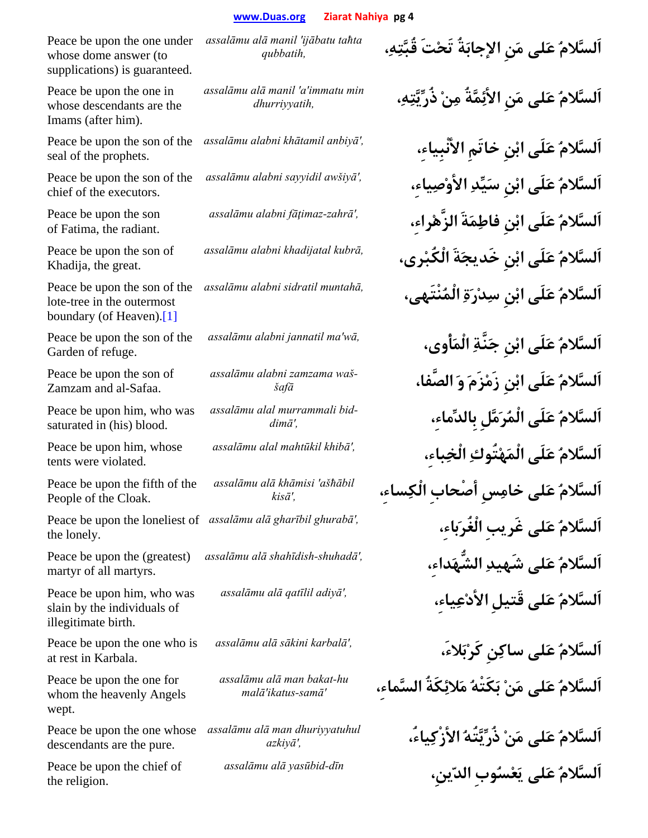Peace be upon the one under whose dome answer (to supplications) is guaranteed.

Peace be upon the one in whose descendants are the Imams (after him).

Peace be upon the son of the seal of the prophets.

Peace be upon the son of the chief of the executors.

Peace be upon the son of Fatima, the radiant.

Peace be upon the son of Khadija, the great.

Peace be upon the son of the lote-tree in the outermost boundary (of Heaven).[1]

Peace be upon the son of the Garden of refuge.

Peace be upon the son of Zamzam and al-Safaa.

Peace be upon him, who was saturated in (his) blood.

Peace be upon him, whose tents were violated.

Peace be upon the fifth of the People of the Cloak.

Peace be upon the loneliest of *assalāmu alā gharībil ghurabā'*, the lonely.

Peace be upon the (greatest) martyr of all martyrs.

Peace be upon him, who was slain by the individuals of illegitimate birth.

Peace be upon the one who is at rest in Karbala.

Peace be upon the one for whom the heavenly Angels wept.

descendants are the pure.

Peace be upon the chief of the religion.

*assalāmu alā manil 'ijābatu taħta* 

*assalāmu alā manil 'a'immatu min* 

*waš zamzama alabni assalāmu*

*bid murrammali alal assalāmu*

*assalāmu alā khāmisi 'ašħābil* 

*assalāmu alā man bakat-hu* 

Peace be upon the one whose *assalāmu alā man dhuriyyatuhul* 

**اَلسَّلامُ عَلى مَنِ الإجابَةُ تَحْتَ قُبَّتِه،ِ** *,qubbatih* **اَلسَّلامُ عَلى مَنِ الأئِمَّةُ مِنْ ذُرِّيَّتِه،ِ** *,dhurriyyatih* **اَلسَّلامُ عَلَى ابْنِ خاتَمِ الأنْبِياء،ِ** *,'anbiyā khātamil alabni assalāmu* **اَلسَّلامُ عَلَى ابْنِ سَيِّدِ الأوْصِياء،ِ** *,'awšiyā sayyidil alabni assalāmu* **اَلسَّلامُ عَلَى ابْنِ فاطِمَةَ الزَّهْراء،ِ** *,'zahrā-fāţimaz alabni assalāmu* **اَلسَّلامُ عَلَى ابْنِ خَديجَةَ الْكُبْرى،** *,kubrā khadijatal alabni assalāmu* **اَلسَّلامُ عَلَى ابْنِ سِدْرَةِ الْمُنْتَهى،** *,muntahā sidratil alabni assalāmu* **اَلسَّلامُ عَلَى ابْنِ جَنَّةِ الْمَأْوى،** *,wā'ma jannatil alabni assalāmu* **اَلسَّلامُ عَلَى ابْنِ زَمْزَمَ وَ الصَّفا،** *šafā-***اَلسَّلامُ عَلَى الْمُرَمَّلِ بِالدِّماء،ِ** *,'dimā-***اَلسَّلامُ عَلَى الْمَهْتُوكِ الْخِباء،ِ** *,'khibā mahtūkil alal assalāmu* **اَلسَّلامُ عَلى خامِسِ أصْحابِ الْكِساء،ِ** *,'kis<sup>ā</sup>* **اَلسَّلامُ عَلى غَريبِ الْغُرَباء،ِ** *,'ghurabā gharībil alā assalāmu* **اَلسَّلامُ عَلى شَهيدِ الشُّهَداء،ِ** *,'shuhadā-shahīdish alā assalāmu* **اَلسَّلامُ عَلى قَتيلِ الأدْعِياء،ِ** *,'adiyā qatīlil alā assalāmu* **اَلسَّلامُ عَلى ساكِنِ كَرْبَلاء،َ** *,'karbalā sākini alā assalāmu* **اَلسَّلامُ عَلى مَنْ بَكَتْهُ مَلائِكَةُ السَّماء،ِ** *'samā-ikatus'mal<sup>ā</sup>* **اَلسَّلامُ عَلى مَنْ ذُرِّيَّتُهُ الأزْكِياء،ُ** *,'azkiy<sup>ā</sup>* **اَلسَّلامُ عَلى يَعْسُوبِ الدّينِ،** *<sup>d</sup>īn-yasūbid alā assalāmu*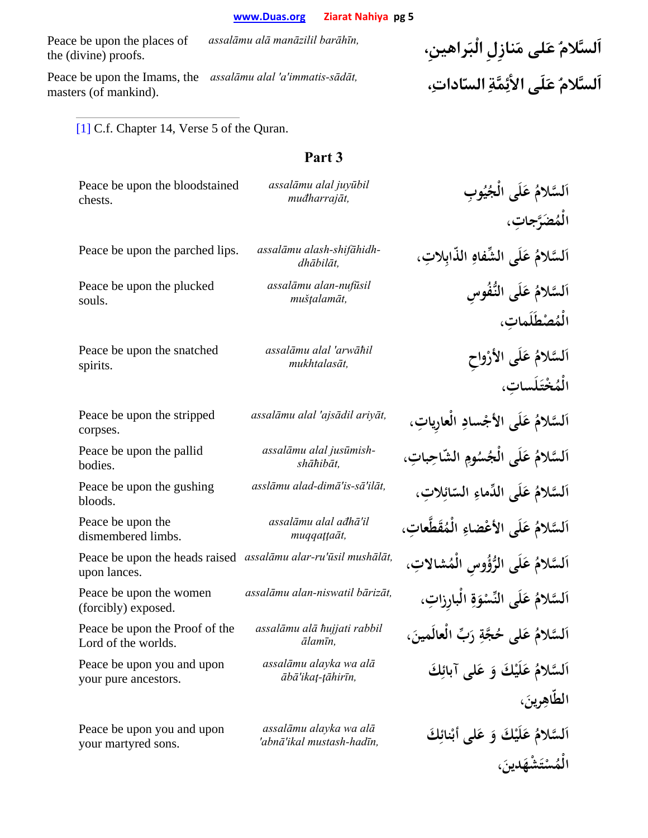Peace be upon the places of the (divine) proofs.

Peace be upon the Imams, the assalāmu alal 'a'immatis-sādāt, masters (of mankind).

**اَلسَّلامُ عَلى مَنازِلِ الْبَراهينِ،** *,barāhīn manāzilil alā assalāmu* **اَلسَّلامُ عَلَى الأئِمَّةِ السّادات،ِ** *,sādāt-immatis'a 'alal assalāmu*

> الْمُسْتَشْهَدينَ، **ْ**

[1] C.f. Chapter 14, Verse 5 of the Quran.

| Peace be upon the bloodstained<br>chests.             | assalāmu alal juyūbil<br>muđharrajāt,               | اَلسَّلامُ عَلَى الْجُيُوبِ                           |
|-------------------------------------------------------|-----------------------------------------------------|-------------------------------------------------------|
|                                                       |                                                     | الْمُصَرَّجاتِ،                                       |
| Peace be upon the parched lips.                       | assalāmu alash-shifāhidh-<br>dhābilāt,              | اَلسَّلامُ عَلَى الشِّفاهِ الذَّابِلاتِ،              |
| Peace be upon the plucked<br>souls.                   | assalāmu alan-nufūsil<br>muštalamāt,                | اَلسَّلامُ عَلَى النُّفُوسِ<br>الْمُصْطَلَماتِ،       |
| Peace be upon the snatched<br>spirits.                | assalāmu alal 'arwāħil<br>mukhtalasāt,              | اَلسَّلامُ عَلَى الأَرْواحِ<br>الْمُخْتَلَساتِ،       |
| Peace be upon the stripped<br>corpses.                | assalāmu alal 'ajsādil ariyāt,                      | اَلسَّلامُ عَلَى الأَجْسادِ الْعارِياتِ،              |
| Peace be upon the pallid<br>bodies.                   | assalāmu alal jusūmish-<br>shāħibāt,                | اَلسَّلامُ عَلَى الجُسُومِ الشَّاحِباتِ،              |
| Peace be upon the gushing<br>bloods.                  | asslāmu alad-dimā'is-sā'ilāt,                       | اَلسَّلامُ عَلَى الدِّماءِ السّائِلاتِ،               |
| Peace be upon the<br>dismembered limbs.               | assalāmu alal ađhā'il<br>muqqattaāt,                | اَلسَّلامُ عَلَى الأَعْضاءِ الْمُقَطَّعاتِ،           |
| Peace be upon the heads raised<br>upon lances.        | assalāmu alar-ru'ūsil mushālāt,                     | اَلسَّلامُ عَلَى الرُّؤُوسِ الْمُشالاتِ،              |
| Peace be upon the women<br>(forcibly) exposed.        | assalāmu alan-niswatil bārizāt,                     | اَلسَّلامُ عَلَى النِّسْوَةِ الْبارِزاتِ،             |
| Peace be upon the Proof of the<br>Lord of the worlds. | assalāmu alā hujjati rabbil<br>ālamīn,              | اَلسَّلامُ عَلَى حُجَّةِ رَبِّ الْعالَمينَ،           |
| Peace be upon you and upon<br>your pure ancestors.    | assalāmu alayka wa alā<br>ābā'ikat-țāhirīn,         | اَلسَّلامُ عَلَيْكَ وَ عَلى آبائِكَ<br>الطَّاهِرِينَ، |
|                                                       |                                                     |                                                       |
| Peace be upon you and upon<br>your martyred sons.     | assalāmu alayka wa alā<br>'abnā'ikal mustash-hadīn, | اَلسَّلامُ عَلَيْكَ وَ عَلى أَبْنائِكَ                |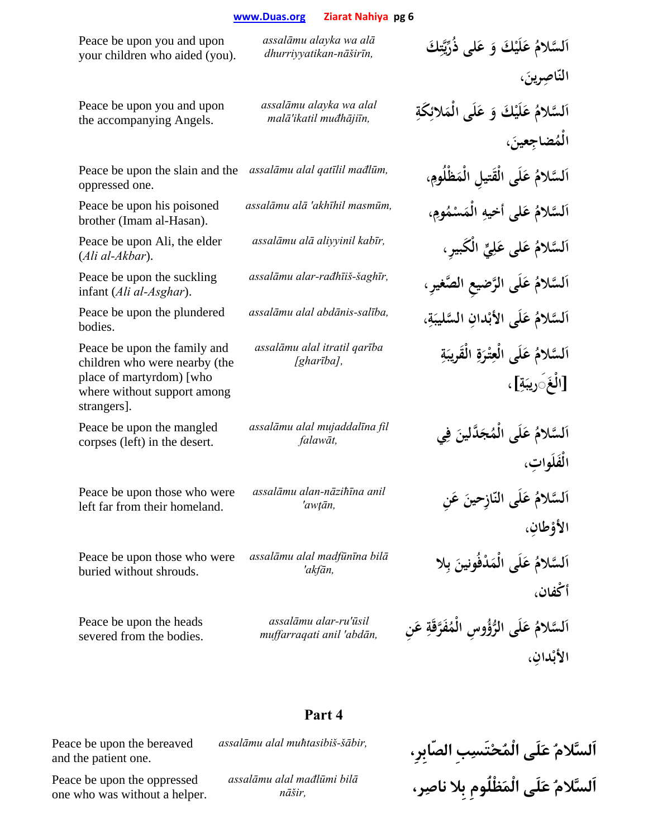| Peace be upon you and upon<br>your children who aided (you).                                                                            | assalāmu alayka wa alā<br>dhurriyyatikan-nāširīn,  | اَلسَّلامُ عَلَيْكَ وَ عَلى ذُرِّيَّتِكَ                     |
|-----------------------------------------------------------------------------------------------------------------------------------------|----------------------------------------------------|--------------------------------------------------------------|
|                                                                                                                                         |                                                    | النّاصِرينَ،                                                 |
| Peace be upon you and upon<br>the accompanying Angels.                                                                                  | assalāmu alayka wa alal<br>malā'ikatil muđhājiīn,  | اَلسَّلامُ عَلَيْكَ وَ عَلَى الْمَلائِكَةِ                   |
|                                                                                                                                         |                                                    | الْمُضاجِعينَ،                                               |
| Peace be upon the slain and the<br>oppressed one.                                                                                       | assalāmu alal qatīlil mađlūm,                      | اَلسَّلامُ عَلَى الْقَتيلِ الْمَظْلُومِ،                     |
| Peace be upon his poisoned<br>brother (Imam al-Hasan).                                                                                  | assalāmu alā 'akhīhil masmūm,                      | اَلسَّلامُ عَلى أخيهِ الْمَسْمُومِ،                          |
| Peace be upon Ali, the elder<br>$(Ali al-Akbar).$                                                                                       | assalāmu alā aliyyinil kabīr,                      | اَلسَّلامُ عَلى عَلِيٍّ الْكَبيرِ،                           |
| Peace be upon the suckling<br>infant (Ali al-Asghar).                                                                                   | assalāmu alar-rađhīiš-šaghīr,                      | اَلسَّلامُ عَلَى الرَّضيعِ الصَّغيرِ،                        |
| Peace be upon the plundered<br>bodies.                                                                                                  | assalāmu alal abdānis-salība,                      | اَلسَّلامُ عَلَى الأَبْدانِ السَّليبَةِ،                     |
| Peace be upon the family and<br>children who were nearby (the<br>place of martyrdom) [who<br>where without support among<br>strangers]. | assalāmu alal itratil qarība<br>[gharība],         | اَلسَّلامُ عَلَى الْعِتْرَةِ الْقَرِيبَةِ<br>[الْغَ∫ريبَةِ]، |
| Peace be upon the mangled<br>corpses (left) in the desert.                                                                              | assalāmu alal mujaddalīna fil<br>falawāt,          | اَلسَّلامُ عَلَى الْمُجَدَّلينَ فِي<br>الْفَلَواتِ،          |
| Peace be upon those who were<br>left far from their homeland.                                                                           | assalāmu alan-nāzihīna anil<br>'awțān,             | اَلسَّلامُ عَلَى النَّازِحينَ عَنِ<br>الأؤطانِ،              |
| Peace be upon those who were<br>buried without shrouds.                                                                                 | assalāmu alal madfūnīna bilā<br>'akfān,            | اَلسَّلامُ عَلَى الْمَدْفُونينَ بِلا<br>أكْفان،              |
| Peace be upon the heads<br>severed from the bodies.                                                                                     | assalāmu alar-ru'ūsil<br>muffarraqati anil 'abdān, | اَلسَّلامُ عَلَى الرُّؤُوسِ الْمُفَرَّقَةِ عَنِ<br>الأبْدان، |

Peace be upon the bereaved and the patient one.

Peace be upon the oppressed one who was without a helper.

**Part 4** 

*assalāmu alal mađlūmi bilā*

**اَلسَّلامُ عَلَى الْمُحْتَسِبِ الصّابِرِ،** *,šābir-muħtasibiš alal assalāmu* **اَلسَّلامُ عَلَى الْمَظْلُومِ بِلا ناصِر،** *,nāšir*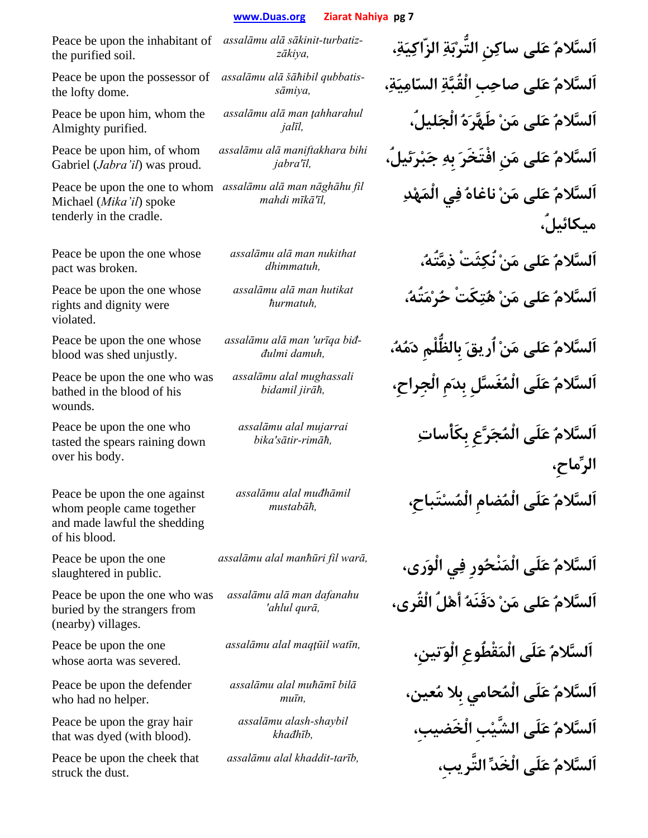Peace be upon the inhabitant of *assalāmu alā sākinit-turbatiz* the purified soil.

Peace be upon the possessor of the lofty dome.

Peace be upon him, whom the Almighty purified.

Peace be upon him, of whom Gabriel (*Jabra'il*) was proud.

Michael (*Mika'il*) spoke tenderly in the cradle.

Peace be upon the one whose pact was broken.

Peace be upon the one whose rights and dignity were violated.

Peace be upon the one whose blood was shed unjustly.

Peace be upon the one who was bathed in the blood of his wounds.

Peace be upon the one who tasted the spears raining down over his body.

Peace be upon the one against whom people came together and made lawful the shedding of his blood.

Peace be upon the one slaughtered in public.

Peace be upon the one who was buried by the strangers from (nearby) villages.

Peace be upon the one whose aorta was severed.

Peace be upon the defender who had no helper.

Peace be upon the gray hair that was dyed (with blood).

Peace be upon the cheek that struck the dust.

*qubbatis šāħibil alā assalāmu*

*assalāmu alā man ţahharahul* 

*assalāmu alā maniftakhara bihi* 

Peace be upon the one to whom *assalāmu alā man nāghāhu fil* 

*assalāmu alā man nukithat* 

*assalāmu alā man hutikat* 

*assalāmu alā man 'urīqa biđ-*

*assalāmu alal mughassali* 

*assalāmu alal mujarrai* 

*assalāmu alal muđhāmil* 

*assalāmu alā man dafanahu* 

*assalāmu alal muħāmī bilā*

*assalāmu alash-shaybil* 

**اَلسَّلامُ عَلى ساكِنِ التُّرْبَةِ الزّاكِيَة،ِ** *,zākiya-***اَلسَّلامُ عَلى صاحِبِ الْقُبَّةِ السّامِيَة،ِ** *,sāmiya-***اَلسَّلامُ عَلى مَنْ طَهَّرَهُ الْجَليلُ،** *,jalī<sup>l</sup>* **اَلسَّلامُ عَلى مَنِ افْتَخَرَ بِهِ جَبْرَئيلُ،** *,īl'jabra* **اَلسَّلامُ عَلى مَنْ ناغاهُ فِي الْمَهْدِ** *,īl'mīkā mahdi* **ميكائيلُ، اَلسَّلامُ عَلى مَنْ نُكِثَتْ ذِمَّتُه،ُ** *,dhimmatuh* **اَلسَّلامُ عَلى مَنْ هُتِكَتْ حُرْمَتُه،ُ** *,ħurmatuh* **اَلسَّلامُ عَلى مَنْ اُريقَ بِالظُّلْمِ دَمُه،ُ** *,damuh đulmi-***اَلسَّلامُ عَلَى الْمُغَسَّلِ بِدَمِ الْجِراحِ،** *,jirāħ bidamil* **اَلسَّلامُ عَلَى الْمُجَرَّعِ بِكَأْساتِ** *,rimāħ-sātir'bika* **الرِّماحِ، اَلسَّلامُ عَلَى الْمُضامِ الْمُسْتَباحِ،** *,mustabāħ* **اَلسَّلامُ عَلَى الْمَنْحُورِ فِي الْوَرى،** *,warā fil manħūri alal assalāmu* **اَلسَّلامُ عَلى مَنْ دَفَنَهُ أهْلُ الْقُرى،** *,qurā ahlul'* **اَلسَّلامُ عَلَى الْمَقْطُوعِ الْوَتينِ،** *,watīn maqţūil alal assalāmu* **اَلسَّلامُ عَلَى الْمُحامي بِلا مُعين،** *,muī<sup>n</sup>* **اَلسَّلامُ عَلَى الشَّيْبِ الْخَضيبِ،** *,khađhī<sup>b</sup>* **اَلسَّلامُ عَلَى الْخَدِّ التَّريبِ،** *,tarīb-khaddit alal assalāmu*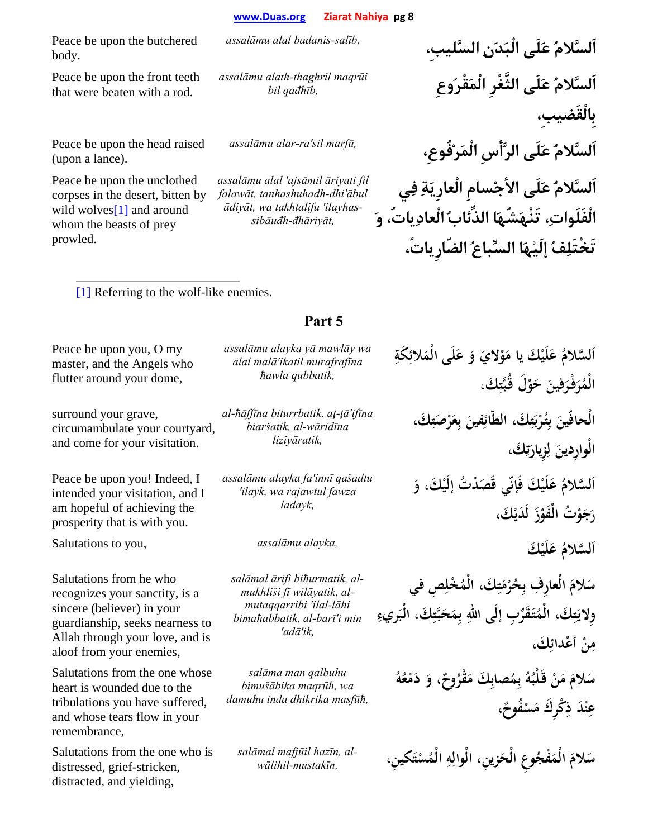Peace be upon the butchered body.

Peace be upon the front teeth that were beaten with a rod.

*assalāmu alath-thaghril maqrūi* 

Peace be upon the head raised (upon a lance).

Peace be upon the unclothed corpses in the desert, bitten by wild wolves<sup>[1]</sup> and around whom the beasts of prey prowled.

*assalāmu alal 'ajsāmil āriyati fil falawāt, tanhashuhadh-dhi'ābul ādiyāt, wa takhtalifu 'ilayhassibāuđh-đhāriyāt,*

**اَلسَّلامُ عَلَى الْبَدَنِ السَّليبِ،** *,salīb-badanis alal assalāmu* **اَلسَّلامُ عَلَى الثَّغْرِ الْمَقْرُوعِ** *,qađhīb bil* **بِالْقَضيبِ، اَلسَّلامُ عَلَى الرَّأْسِ الْمَرْفُوعِ،** *,marfū sil'ra-alar assalāmu* **اَلسَّلامُ عَلَى الأجْسامِ الْعارِيَةِ فِي الْفَلَوات،ِ تَنْهَشُهَا الذِّئابُ الْعادِياتُ، وَ تَخْتَلِفُ إلَيْهَا السِّباعُ الضّارِياتُ،**

[1] Referring to the wolf-like enemies.

## Peace be upon you, O my master, and the Angels who flutter around your dome,

surround your grave, circumambulate your courtyard, and come for your visitation.

Peace be upon you! Indeed, I intended your visitation, and I am hopeful of achieving the prosperity that is with you.

Salutations to you, *assalāmu alayka,* **كَ ْ**

Salutations from he who recognizes your sanctity, is a sincere (believer) in your guardianship, seeks nearness to Allah through your love, and is aloof from your enemies,

Salutations from the one whose heart is wounded due to the tribulations you have suffered, and whose tears flow in your remembrance,

Salutations from the one who is distressed, grief-stricken, distracted, and yielding,

## **Part 5**

**ِ**

*assalāmu alayka yā mawlāy wa alal malā'ikatil murafrafīna ħawla qubbatik,*

*al-ħāffīna biturrbatik, aţ-ţā'ifīna biaršatik, al-wāridīna liziyāratik,*

*assalāmu alayka fa'innī qašadtu 'ilayk, wa rajawtul fawza ladayk,*

*salāmal ārifi biħurmatik, almukhliši fī wilāyatik, almutaqqarribi 'ilal-lāhi bimaħabbatik, al-barī'i min 'adā'ik,*

*salāma man qalbuhu bimušābika maqrūħ, wa damuhu inda dhikrika masfūħ,*

*salāmal mafjūil ħazīn, alwālihil-mustakīn,*

اَلسَّلامُ عَلَيْكَ يا مَوْلايَ وَ عَلَى الْمَلائِكَةِ **ا ِ**الْمُرَفَرَفِينَ حَوْلُ قُبَّتِكَ، **َ ِ**الْحافّينَ بِتُرْبَتِكَ، الطّائِفينَ بِعَرْصَتِكَ، **ِب**<br>. **ب**<br>ب **ْ** الْوارِدينَ لِزِيارَتِكَ، **ز ت َ َ** أَلْسَّلامُ عَلَيْكَ فَإِنِّي قَصَدْتُ إِلَيْكَ، وَ **ا** رَجَوْتُ الْفَوْزَ لْدَيْكَ،

> **َي َل ُ ع لسلام َ َّ ا**

**ِ ِص في ُ ْخل َك، الْم ت ْم ُر ِح َ ِ الْعار ِف <sup>ب</sup> َلام س َِ ِ** وِلايَتِكَ، الْمُتَقَرِّبِ إلَى اللهِ بِمَحَبَّتِكَ، الْبَريءِ **َِ ِي**<br>-**َِك، أعدائ ْ ْ ِن م**

سَلامَ مَنْ قَلْبُهُ بِمُصابِكَ مَقْرُوحٌ، وَ دَمْعُهُ **ب** عِنْدَ ذِكْرِكَ مَسْفُوحٌ، <u>بر</u> **ِ**

**َ ِكين، ت ُس ِ الْم ه َ ِزين، الْوال ُ ِوع الْح َ ْفج َ الْم َلام سْ ِ**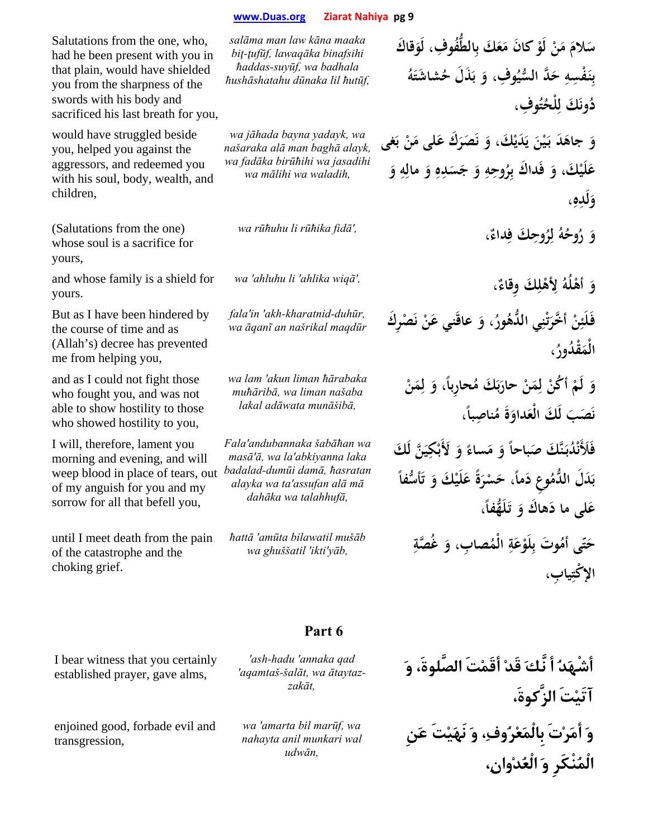Salutations from the one, who, had he been present with you in that plain, would have shielded you from the sharpness of the swords with his body and sacrificed his last breath for you,

would have struggled beside you, helped you against the aggressors, and redeemed you with his soul, body, wealth, and children,

(Salutations from the one) whose soul is a sacrifice for yours,

and whose family is a shield for yours.

But as I have been hindered by the course of time and as (Allah's) decree has prevented me from helping you,

and as I could not fight those who fought you, and was not able to show hostility to those who showed hostility to you,

I will, therefore, lament you morning and evening, and will weep blood in place of tears, out of my anguish for you and my sorrow for all that befell you,

until I meet death from the pain of the catastrophe and the choking grief.

I bear witness that you certainly established prayer, gave alms,

enjoined good, forbade evil and

transgression,

*salāma man law kāna maaka biţ-ţufūf, lawaqāka binafsihi ħaddas-suyūf, wa badhala ħushāshatahu dūnaka lil ħutūf,*

*wa jāhada bayna yadayk, wa našaraka alā man baghā alayk, wa fadāka birūħihi wa jasadihi wa mālihi wa waladih,*

**َ**

*wa rūħuhu li rūħika fidā',*

*wa 'ahluhu li 'ahlika wiqā',*

*fala'in 'akh-kharatnid-duhūr, wa āqanī an našrikal maqdūr*

*wa lam 'akun liman ħārabaka muħāribā, wa liman našaba lakal adāwata munāšibā,*

*Fala'andubannaka šabāħan wa masā'ā, wa la'abkiyanna laka badalad-dumūi damā, ħasratan alayka wa ta'assufan alā mā dahāka wa talahhufā,*

*ħattā 'amūta bilawatil mušāb wa ghuššatil 'ikti'yāb,* **ِ**

سَلامَ مَنْ لَوْ كانَ مَعَكَ بِالطُّفُوفِ، لَوَقاكَ بِنَفْسِهِ حَدَّ السُّيُوفِ، وَ بَذَلَ حُشاشَتَهُ **ب**<br>ب **ُ ِوف، ت ُ ْلح َ َك ل ُون د ِ** وَ جاهَدَ بَيْنَ يَدَيْكَ، وَ نَصَرَكَ عَلَى مَنْ بَغَى **ٔ** عَلَيْكَ، وَ فَداكَ بِرُوحِهِ وَ جَسَدِهِ وَ مالِهِ وَ **ِ**

**،ِ ِه لَد و َ**

**ِ ِ ياب، ْ الإكت**

**، ٌ ِداء َك ف ُوح ِر ُ ل ُه ُوح َ ر و ِ**

**، ٌ َك ِوقاء ْل ِ ه ُ لأ ُه ْل َ أه و ِ**

فَلَئِنْ أَخَّرَتْنِي اللُّهُورُ، وَ عاقَنِي عَنْ نَصْرِكَ **ت َ ، ُ َ ْق ُدور الْم**

**ْ َن ِم َ ل ،ً و ُ ِحاربا َ َك م ْ حار َن ِم ْ ل أكن ُ ْ َ لَم و ب َ ً ن ، َ َص َب ُ ِ ناصبا َ م َة َداو لَ َك الْع** فَلَأَنْدُبَنَّكَ صَباحاً وَ مَساءً وَ لَأَبْكِيَنَّ لَكَ **ِ ً** بَدَلَ الدَّمُوعِ دَماً، حَسْرَةَ عَلَيْكَ وَ تَأْسُّفاً **َ ب ،ً هفا َُّ َل َ تـ َ َ هاك و َلى ما د ع** حَتّى أمُوتَ بِلَوْعَةِ الْمُصابِ، وَ غُصَّةِ **َ**

## **Part 6**

*'ash-hadu 'annaka qad 'aqamtaš-šalāt, wa ātaytazzakāt,*

*wa 'amarta bil marūf, wa nahayta anil munkari wal udwān,*

**أشْهَدُ أ نَّكَ قَدْ أقَمْتَ الصَّلوةَ، وَ آتَيْتَ الزَّكوةَ، وَ أمَرْتَ بِالْمَعْرُوف،ِ وَ نَهَيْتَ عَنِ الْمُنْكَرِ وَ الْعُدْوان،ِ**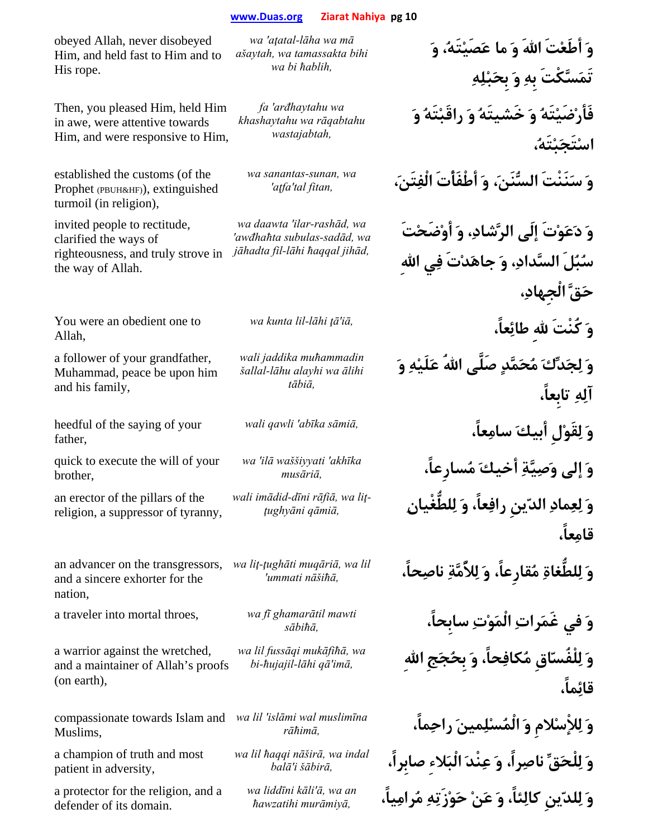obeyed Allah, never disobeyed Him, and held fast to Him and to His rope.

Then, you pleased Him, held Him in awe, were attentive towards Him, and were responsive to Him,

established the customs (of the Prophet (PBUH&HF)), extinguished turmoil (in religion),

invited people to rectitude, clarified the ways of righteousness, and truly strove in the way of Allah.

You were an obedient one to Allah,

a follower of your grandfather, Muhammad, peace be upon him and his family,

heedful of the saying of your father,

quick to execute the will of your brother,

an erector of the pillars of the religion, a suppressor of tyranny,

an advancer on the transgressors, and a sincere exhorter for the nation,

a traveler into mortal throes, *wa fī ghamarātil mawti* 

a warrior against the wretched, and a maintainer of Allah's proofs (on earth),

compassionate towards Islam and *wa lil 'islāmi wal muslimīna*  Muslims,

a champion of truth and most patient in adversity,

a protector for the religion, and a defender of its domain.

*wa 'aţatal-lāha wa mā ašaytah, wa tamassakta bihi wa bi ħablih,*

*fa 'arđhaytahu wa khashaytahu wa rāqabtahu wastajabtah,*

*wa sanantas-sunan, wa* 

*wa daawta 'ilar-rashād, wa 'awđhaħta subulas-sadād, wa jāhadta fil-lāhi ħaqqal jihād,*

*wali jaddika muħammadin šallal-lāhu alayhi wa ālihi tābiā,*

*wa 'ilā waššiyyati 'akhīka* 

*kvali* imādid-dīni rāfiā, wa lit-

*wa liţ-ţughāti muqāriā, wa lil* 

*wa lil fussāqi mukāfiħā, wa* 

*wa lil ħaqqi nāširā, wa indal* 

*wa liddīni kāli'ā, wa an* 

**وَ أطَعْتَ االلهَ وَ ما عَصَيْتَه،ُ وَ تَمَسَّكْتَ بِهِ وَ بِحَبْلِهِ فَأرْضَيْتَهُ وَ خَشيتَهُ وَ راقَبْتَهُ وَ اسْتَجَبْتَه،ُ وَ سَنَنْتَ السُّنَن،َ وَ أطْفَأْتَ الْفِتَن،َ** *,fitan tal'aţfa'*

**وَ دَعَوْتَ إلَى الرَّشاد،ِ وَ أوْضَحْتَ سُبُلَ السَّداد،ِ وَ جاهَدْتَ فِي االلهِ حَقَّ الْجِهاد،ِ** *wa kunta lil-lāhi ţā'iā,* **،عاًِطائ ِالله كُنْتَ َو وَ لِجَدِّكَ مُحَمَّدٍ صَلَّى االلهُ عَلَيْهِ وَ آلِهِ تابِعاً، وَ لِقَوْلِ أبيكَ سامِعاً،** *,sāmiā abīka 'qawli wali* **وَ إلى وَصِيَّةِ أخيكَ مُسارِعاً،** *,musāri<sup>ā</sup>* **وَ لِعِمادِ الدّينِ رافِعاً، وَ لِلطُّغْيانِ** *,qāmi<sup>ā</sup> <sup>ţ</sup>ughyāni-***قامِعاً، وَ لِلطُّغاةِ مُقارِعاً، وَ لِلأُمَّةِ ناصِحاً،** *,nāšiħā ummati'* **وَ في غَمَراتِ الْمَوْتِ سابِحاً،** *,sābiħā* **وَ لِلْفُسّاقِ مُكافِحاً، وَ بِحُجَجِ االلهِ** *,imā'qā lāhi-ħujajil-bi* **قائِماً،**

**وَ لِلإْسْلامِ وَ الْمُسْلِمينَ راحِماً،** *,rāħim<sup>ā</sup>* **وَ لِلْحَقِّ ناصِراً، وَ عِنْدَ الْبَلاءِ صابِراً،** *,šābirā i'bal<sup>ā</sup>* **وَ لِلدّينِ كالِئاً، وَ عَنْ حَوْزَتِهِ مُرامِياً،** *,murāmiy<sup>ā</sup> <sup>ħ</sup>awzatihi*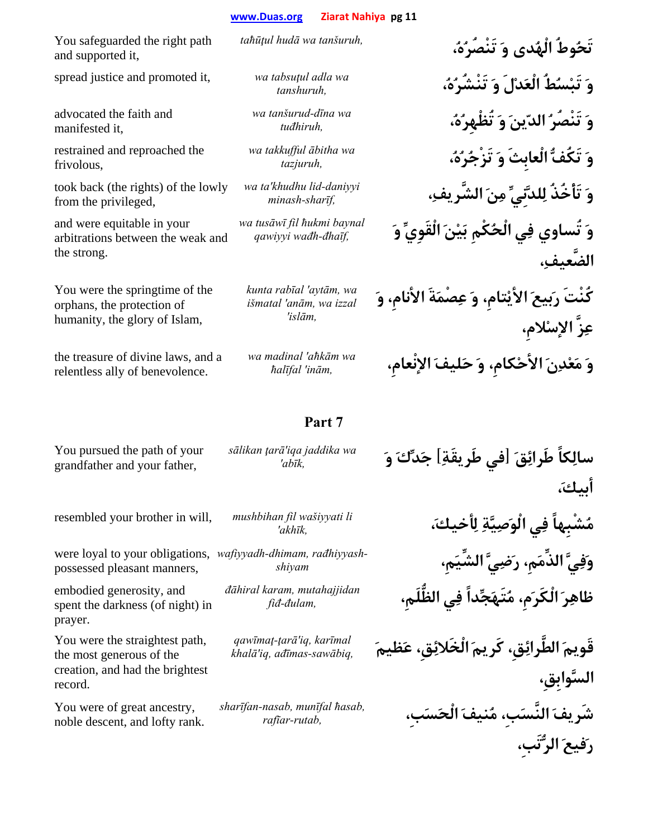*wa tanšurud-dīna wa* 

*wa takkufful ābitha wa* 

*wa ta'khudhu lid-daniyyi* 

*wa tusāwī fil ħukmi baynal* 

*kunta rabīal 'aytām, wa išmatal 'anām, wa izzal 'islām,*

You safeguarded the right path and supported it,

spread justice and promoted it, *wa tabsuţul adla wa* 

advocated the faith and manifested it,

restrained and reproached the frivolous,

took back (the rights) of the lowly from the privileged,

and were equitable in your arbitrations between the weak and the strong.

You were the springtime of the orphans, the protection of humanity, the glory of Islam,

the treasure of divine laws, and a relentless ally of benevolence.

*wa madinal 'aħkām wa* 

**تَحُوطُ الْهُدى وَ تَنْصُرُه،ُ** *,tanšuruh wa hudā taħūţul* **وَ تَبْسُطُ الْعَدْلَ وَ تَنْشُرُه،ُ** *,tanshuruh* **وَ تَنْصُرُ الدّينَ وَ تُظْهِرُه،ُ** *,tuđhiruh* **وَ تَكُفُّ الْعابِثَ وَ تَزْجُرُه،ُ** *,tazjuruh* **وَ تَأْخُذُ لِلدَّنِيِّ مِنَ الشَّريف،ِ** *,sharīf-minash* **وَ تُساوي فِي الْحُكْمِ بَيْنَ الْقَوِيِّ وَ** *,đhaīf-wađh qawiyyi* **الضَّعيف،ِ كُنْتَ رَبيعَ الأيْتامِ، وَ عِصْمَةَ الأنامِ، وَ عِزَّ الإسْلامِ،**

**وَ مَعْدِنَ الأحْكامِ، وَ حَليفَ الإنْعامِ،** *,inām 'ħalīfal*

You pursued the path of your grandfather and your father,

*sālikan ţarā'iqa jaddika wa* 

resembled your brother in will, *mushbihan fil wašiyyati li* 

possessed pleasant manners,

embodied generosity, and spent the darkness (of night) in prayer.

You were the straightest path, the most generous of the creation, and had the brightest record.

You were of great ancestry, noble descent, and lofty rank.

were loyal to your obligations, wafiyyadh-dhimam, rađhiyyash

*đāhiral karam, mutahajjidan* 

*qawīmaţ-ţarā'iq, karīmal* 

*sharīfan-nasab, munīfal ħasab,* 

**سالِكاً طَرائِقَ [في طَريقَةِ] جَدِّكَ وَ** *,abīk'* **أبيك،َ**

**مُشْبِهاً فِي الْوَصِيَّةِ لِأخيك،َ** *,akhīk'* **وَفِيَّ الذِّمَمِ، رَضِيَّ الشِّيَمِ،** *shiyam-***ظاهِرَ الْكَرَمِ، مُتَهَجِّداً فِي الظُّلَمِ،** *,đulam-fi<sup>đ</sup>*

**قَويمَ الطَّرائِقِ، كَريمَ الْخَلائِقِ، عَظيمَ** *,sawābiq-ađīmas ,iq'khal<sup>ā</sup>* **السَّوابِقِ، شَريفَ النَّسَبِ، مُنيفَ الْحَسَبِ،** *,rutab-rafīar* **رَفيعَ الرُّتَبِ،**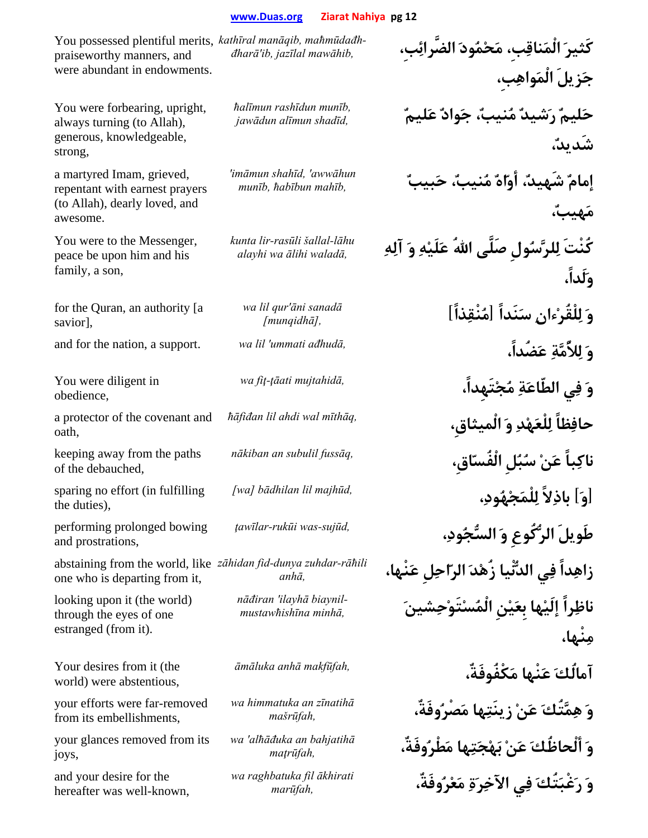You possessed plentiful merits, *maħmūdađh ,manāqib kathīral* praiseworthy manners, and were abundant in endowments. **كَثيرَ الْمَناقِبِ، مَحْمُودَ الضَّرائِبِ،** *,mawāhib jazīlal ,ib'đharā-***جَزيلَ الْمَواهِبِ،** You were forbearing, upright, always turning (to Allah), generous, knowledgeable, strong, *ħalīmun rashīdun munīb,*  **حَليمٌ رَشيدٌ مُنيب،ٌ جَوادٌ عَليمٌ** *,shadīd alīmun jawādun* **شَديد،ٌ** a martyred Imam, grieved, repentant with earnest prayers (to Allah), dearly loved, and awesome. *'imāmun shahīd, 'awwāhun*  **إمامٌ شَهيد،ٌ أوّاهٌ مُنيب،ٌ حَبيبٌ** *,mahīb ħabībun ,munī<sup>b</sup>* **مَهيب،ٌ** You were to the Messenger, peace be upon him and his family, a son, *kunta lir-rasūli šallal-lāhu*  **كُنْتَ لِلرَّسُولِ صَلَّى االلهُ عَلَيْهِ وَ آلِهِ** *,walad<sup>ā</sup> <sup>ā</sup>lihi wa alayhi* **وَلَداً،** for the Quran, an authority [a savior], *wa lil qur'āni sanadā* **وَ لِلْقُرْءانِ سَنَداً [مُنْقِذاً]** *,[munqidhā[* and for the nation, a support. *wa lil 'ummati ađhudā,* **،ضُداًَع ِمَّةُلأِل َو** You were diligent in obedience, **وَ فِي الطّاعَةِ مُجْتَهِداً،** *,mujtahid<sup>ā</sup> ţāati-fiţ wa* a protector of the covenant and oath, **حافِظاً لِلْعَهْدِ وَ الْميثاقِ،** *,mīthāq wal ahdi lil ħāfiđan* keeping away from the paths of the debauched, **ناكِباً عَنْ سُبُلِ الْفُسّاقِ،** *,fussāq subulil an nākiban* sparing no effort (in fulfilling the duties), **[وَ] باذِلاً لِلْمَجْهُود،ِ** *,majhūd lil bādhilan] wa[* performing prolonged bowing and prostrations, **طَويلَ الرُّكُوعِ وَ السُّجُود،ِ** *,sujūd-was rukūi-ţawīlar* abstaining from the world, like *zāhidan fid-dunya zuhdar-rāħili*  one who is departing from it, **زاهِداً فِي الدُّنْيا زُهْدَ الرّاحِلِ عَنْها،** *,anh<sup>ā</sup>* looking upon it (the world) through the eyes of one estranged (from it). **ناظِراً إلَيْها بِعَيْنِ الْمُسْتَوْحِشينَ** *,minhā mustawħishīnabiaynil ilayhā 'nāđiran* **مِنْها،** Your desires from it (the world) were abstentious, **آمالُكَ عَنْها مَكْفُوفَةٌ،** *,makfūfah anh<sup>ā</sup> <sup>ā</sup>māluka* your efforts were far-removed from its embellishments, *wa himmatuka an zīnatihā* **وَ هِمَّتُكَ عَنْ زينَتِها مَصْرُوفَةٌ،** *,mašrūfah* your glances removed from its joys, *wa 'alħāđuka an bahjatihā* **وَ ألْحاظُكَ عَنْ بَهْجَتِها مَطْرُوفَةٌ،** *,maţrūfah* and your desire for the hereafter was well-known, *wa raghbatuka fil ākhirati*  **وَ رَغْبَتُكَ فِي الآخِرَةِ مَعْرُوفَةٌ،** *,marūfah*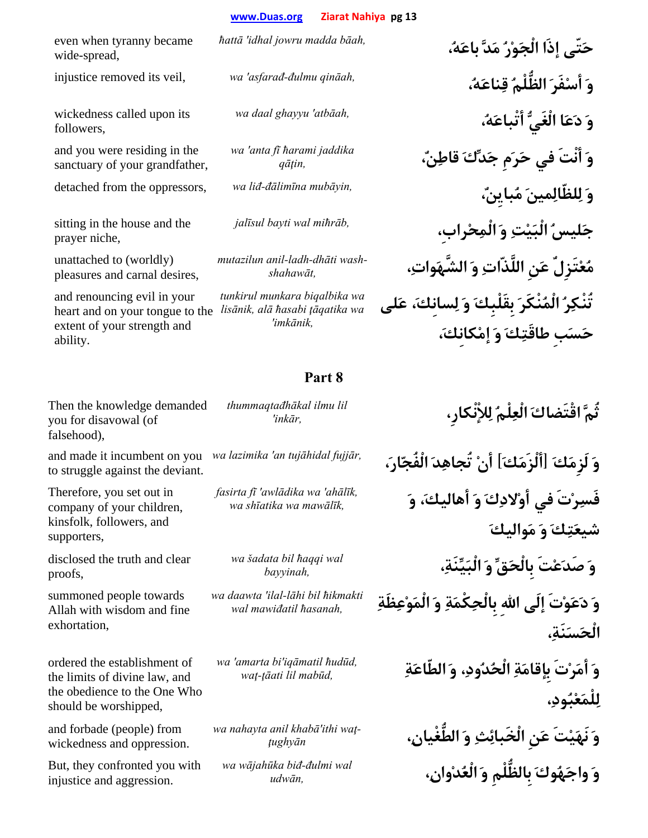even when tyranny became wide-spread,

wickedness called upon its followers,

and you were residing in the sanctuary of your grandfather,

sitting in the house and the prayer niche,

unattached to (worldly) pleasures and carnal desires,

and renouncing evil in your heart and on your tongue to the *lisānik, alā ħasabi ţāqatika wa*  extent of your strength and ability.

*wa 'anta fī ħarami jaddika* 

*wash dhāti-ladh-anil mutazilun*

*tunkirul munkara biqalbika wa 'imkānik,*

## **Part 8**

Then the knowledge demanded you for disavowal (of falsehood),

and made it incumbent on you wa lazimika 'an tujāhidal fujjār, to struggle against the deviant.

Therefore, you set out in company of your children, kinsfolk, followers, and supporters,

disclosed the truth and clear proofs,

summoned people towards Allah with wisdom and fine exhortation,

ordered the establishment of the limits of divine law, and the obedience to the One Who should be worshipped,

and forbade (people) from wickedness and oppression.

But, they confronted you with injustice and aggression.

*thummaqtađhākal ilmu lil* 

*fasirta fī 'awlādika wa 'ahālīk,* 

*wa šadata bil ħaqqi wal* 

*wa daawta 'ilal-lāhi bil ħikmakti* 

*wa 'amarta bi'iqāmatil ħudūd,* 

*wa* nahayta anil khabā'ithi wat-

*wa wājahūka biđ-đulmi wal* 

**حَتّى إذَا الْجَوْرُ مَدَّ باعَه،ُ** *,bāah madda jowru idhal 'ħatt<sup>ā</sup>* injustice removed its veil, *wa 'asfarađ-đulmu qināah,* **،ُهَناعِق ُالظُّلْم َفَرْأس َو وَ دَعَا الْغَيُّ أتْباعَه،ُ** *,atbāah 'ghayyu daal wa* **وَ أنْتَ في حَرَمِ جَدِّكَ قاطِن،ٌ** *,qāţin* detached from the oppressors, *wa liđ-đālimīna mubāyin,* **،ٌبايِنُم َمينِلظّالِل َو جَليسُ الْبَيْتِ وَ الْمِحْرابِ،** *,miħrāb wal bayti jalīsul* **مُعْتَزِلٌ عَنِ اللَّذّاتِ وَ الشَّهَوات،ِ** *,shahawāt-***تُنْكِرُ الْمُنْكَرَ بِقَلْبِكَ وَ لِسانِك،َ عَلى حَسَبِ طاقَتِكَ وَ إمْكانِك،َ**

**ثُمَّ اقْتَضاكَ الْعِلْمُ لِلإْنْكارِ،** *,inkār'*

**وَ لَزِمَكَ [ألْزَمَكَ] أنْ تُجاهِدَ الْفُجّار،َ** *,fujjār tujāhidal an 'lazimika wa* **فَسِرْتَ في أوْلادِكَ وَ أهاليك،َ وَ** *,mawālīk wa shīatika wa* **شيعَتِكَ وَ مَواليكَ وَ صَدَعْتَ بِالْحَقِّ وَ الْبَيِّنَة،ِ** *,bayyinah* **وَ دَعَوْتَ إلَى االلهِ بِالْحِكْمَةِ وَ الْمَوْعِظَةِ** *,ħasanah mawiđatil wal* **الْحَسَنَة،ِ وَ أمَرْتَ بِإقامَةِ الْحُدُود،ِ وَ الطّاعَةِ** *,mabūd lil ţāati-wa<sup>ţ</sup>* **لِلْمَعْبُود،ِ**

> **وَ نَهَيْتَ عَنِ الْخَبائِثِ وَ الطُّغْيان،ِ** *<sup>ţ</sup>ughyān-***وَ واجَهُوكَ بِالظُّلْمِ وَ الْعُدْوان،ِ** *,udwā<sup>n</sup>*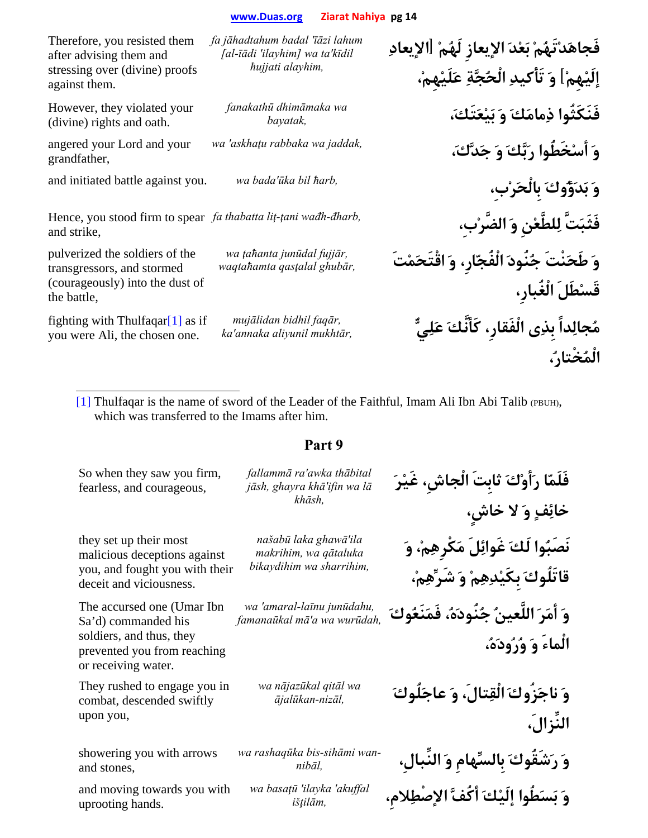*fa jāhadtahum badal 'īāzi lahum [al-īādi 'ilayhim] wa ta'kīdil ħujjati alayhim,*

*fanakathū dhimāmaka wa* 

Therefore, you resisted them after advising them and stressing over (divine) proofs against them.

However, they violated your (divine) rights and oath.

angered your Lord and your grandfather,

Hence, you stood firm to spear fa thabatta lit-tani wadh-dharb, and strike,

pulverized the soldiers of the transgressors, and stormed (courageously) into the dust of the battle,

fighting with Thulfaqar[1] as if you were Ali, the chosen one.

*mujālidan bidhil faqār,* 

*wa ţaħanta junūdal fujjār,* 

**فَجاهَدْتَهُمْ بَعْدَ الإيعازِ لَهُمْ [الإيعادِ إلَيْهِمْ] وَ تَأْكيدِ الْحُجَّةِ عَلَيْهِم،ْ فَنَكَثُوا ذِمامَكَ وَ بَيْعَتَك،َ** *,bayatak* **وَ أسْخَطُوا رَبَّكَ وَ جَدَّك،َ** *,jaddak wa rabbaka askhaţu 'wa* and initiated battle against you. *wa bada'ūka bil ħarb,* **،بِْرَبِالْح َوكُؤَدَب َو فَثَبَتَّ لِلطَّعْنِ وَ الضَّرْبِ،** *,đharb-wađh ţani-liţ thabatta fa* **وَ طَحَنْتَ جُنُودَ الْفُجّارِ، وَ اقْتَحَمْتَ** *,ghubār qasţalal waqtaħamta* **قَسْطَلَ الْغُبارِ،**  $m$ ujālidan bidhil faqār, مُجالِداً بِذِى الْفَقارِ، كَأَنَّكَ عَلِيٌّ **الْمُخْتار،ُ**

[1] Thulfaqar is the name of sword of the Leader of the Faithful, Imam Ali Ibn Abi Talib (PBUH), which was transferred to the Imams after him.

| So when they saw you firm,<br>fearless, and courageous,                                                                             | fallammā ra'awka thābital<br>jāsh, ghayra khā'ifin wa lā<br>khāsh,         | فَلَمّا رَأَوْكَ ثابتَ الْجاشِ، غَيْرَ<br>خائِفٍ وَ لا خاشٍ،                 |
|-------------------------------------------------------------------------------------------------------------------------------------|----------------------------------------------------------------------------|------------------------------------------------------------------------------|
| they set up their most<br>malicious deceptions against<br>you, and fought you with their<br>deceit and viciousness.                 | našabū laka ghawā'ila<br>makrihim, wa qātaluka<br>bikaydihim wa sharrihim, | نَصَبُوا لَكَ غَوائِلَ مَكْرِهِمْ، وَ<br>قاتَلُوكَ بكَيْدِهِمْ وَ شَرِّهِمْ، |
| The accursed one (Umar Ibn<br>Sa'd) commanded his<br>soldiers, and thus, they<br>prevented you from reaching<br>or receiving water. | wa 'amaral-laīnu junūdahu,<br>famanaūkal mā'a wa wurūdah,                  | وَ أَمَرَ اللَّعينُ جُنُودَهُ، فَمَنَعُوكَ<br>الْماءَ وَ وُرُودَهُ،          |
| They rushed to engage you in<br>combat, descended swiftly<br>upon you,                                                              | wa nājazūkal qitāl wa<br>ājalūkan-nizāl,                                   | وَ ناجَزُوكَ الْقِتالَ، وَ عاجَلُوكَ<br>النِّزالَ،                           |
| showering you with arrows<br>and stones,                                                                                            | wa rashaquka bis-sihāmi wan-<br>nibāl,                                     | وَ رَشَقُوكَ بِالسِّهامِ وَ النِّبالِ،                                       |
| and moving towards you with<br>uprooting hands.                                                                                     | wa basaţū 'ilayka 'akuffal<br>išțilām,                                     | وَ بَسَطُوا إِلَيْكَ أَكُفَّ الإصْطِلامِ،                                    |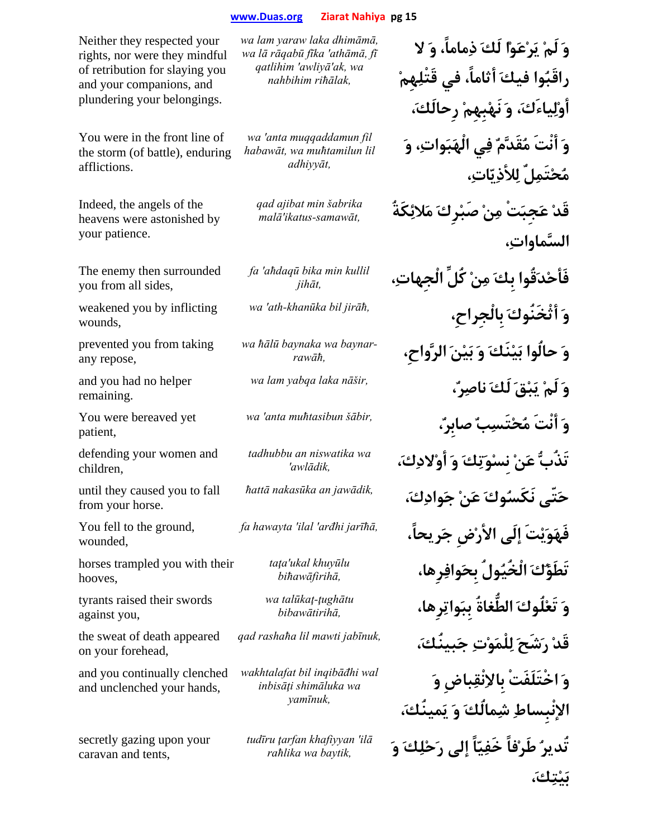Neither they respected your rights, nor were they mindful of retribution for slaying you and your companions, and plundering your belongings.

You were in the front line of the storm (of battle), enduring afflictions.

Indeed, the angels of the heavens were astonished by your patience.

The enemy then surrounded you from all sides,

weakened you by inflicting wounds,

prevented you from taking any repose,

and you had no helper remaining.

You were bereaved yet patient,

defending your women and children,

until they caused you to fall from your horse.

You fell to the ground, wounded,

horses trampled you with their hooves,

tyrants raised their swords against you,

the sweat of death appeared on your forehead,

and you continually clenched and unclenched your hands,

secretly gazing upon your caravan and tents,

*wa lam yaraw laka dhimāmā, wa lā rāqabū fīka 'athāmā, fī qatlihim 'awliyā'ak, wa nahbihim riħālak,*

*wa 'anta muqqaddamun fil habawāt, wa muħtamilun lil adhiyyāt,*

*qad ajibat min šabrika* 

*fa 'aħdaqū bika min kullil* 

*baynar wa baynaka ħālū wa*

*tadhubbu an niswatika wa* 

*taţa'ukal khuyūlu* 

*wa talūkaţ-ţughātu* 

*wakhtalafat bil inqibāđhi wal inbisāţi shimāluka wa yamīnuk,*

*tudīru ţarfan khafiyyan 'ilā*

**وَ لَمْ يَرْعَوْا لَكَ ذِماماً، وَ لا راقَبُوا فيكَ أثاماً، في قَتْلِهِمْ أوْلِياءَك،َ وَ نَهْبِهِمْ رِحالَك،َ وَ أنْتَ مُقَدَّمٌ فِي الْهَبَوات،ِ وَ مُحْتَمِلٌ لِلأذِيّات،ِ قَدْ عَجِبَتْ مِنْ صَبْرِكَ مَلائِكَةُ** *,samawāt-ikatus'mal<sup>ā</sup>* **السَّماوات،ِ فَأحْدَقُوا بِكَ مِنْ كُلِّ الْجِهات،ِ** *,jihā<sup>t</sup> wa 'ath-khanūka bil jirāħ,* **،بِالْجِراحِ َأثْخَنُوك َو وَ حالُوا بَيْنَكَ وَ بَيْنَ الرَّواحِ،** *,rawāħ-***وَ لَمْ يَبْقَ لَكَ ناصِر،ٌ** *,nāšir laka yabqa lam wa* **وَ أنْتَ مُحْتَسِبٌ صابِر،ٌ** *,šābir muħtasibun anta 'wa* **تَذُبُّ عَنْ نِسْوَتِكَ وَ أوْلادِك،َ** *,awlādik'* **حَتّى نَكَسُوكَ عَنْ جَوادِك،َ** *,jawādik an nakasūka ħatt<sup>ā</sup>* **فَهَوَيْتَ إلَى الأرْضِ جَريحاً،** *,jarīħā arđhi 'ilal 'hawayta fa* **تَطَؤُكَ الْخُيُولُ بِحَوافِرِها،** *,biħawāfirih<sup>ā</sup>* **وَ تَعْلُوكَ الطُّغاةُ بِبَواتِرِها،** *,bibawātirih<sup>ā</sup>* **قَدْ رَشَحَ لِلْمَوْتِ جَبينُك،َ** *,jabīnuk mawti lil rashaħa qad* **وَ اخْتَلَفَتْ بِالاِنْقِباضِ وَ الإنْبِساطِ شِمالُكَ وَ يَمينُك،َ تُديرُ طَرْفاً خَفِيّاً إلى رَحْلِكَ وَ** *,baytik wa raħlika*

**بَيْتِك،َ**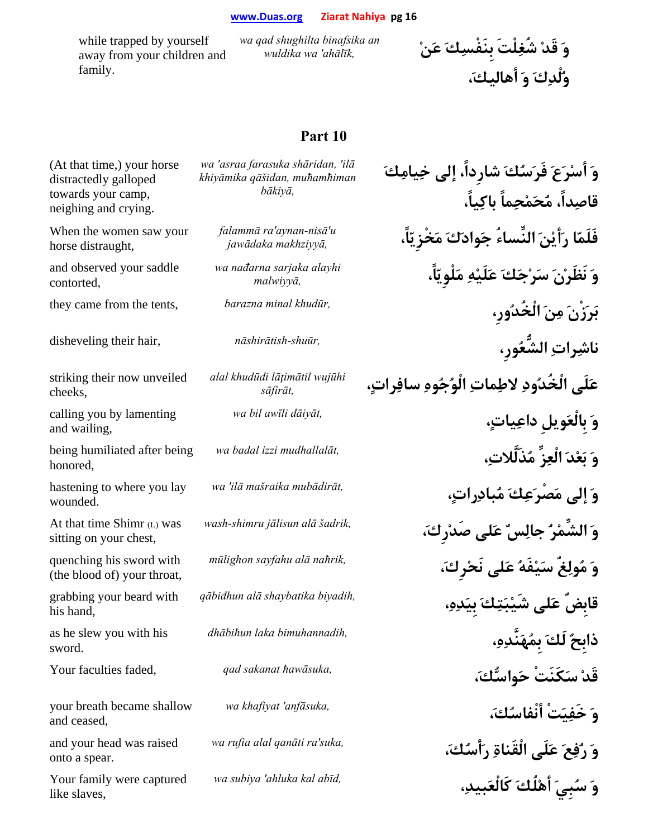while trapped by yourself away from your children and family.

*wa qad shughilta binafsika an*  **وَ قَدْ شُغِلْتَ بِنَفْسِكَ عَنْ** *,ahālīk 'wa wuldika*

**وُلْدِكَ وَ أهاليك،َ**

| وَ أَسْرَعَ فَرَسُكَ شارداً، إلى خِيامِكَ<br>قاصِداً، مُحَمْحِماً باكِياً، | wa 'asraa farasuka shāridan, 'ilā<br>khiyāmika qāšidan, muhamhiman<br>bākiyā, | (At that time,) your horse<br>distractedly galloped<br>towards your camp,<br>neighing and crying. |
|----------------------------------------------------------------------------|-------------------------------------------------------------------------------|---------------------------------------------------------------------------------------------------|
| فَلَمّا رَأَيْنَ النِّساءُ جَوادَكَ مَخْرْ يّاً،                           | falammā ra'aynan-nisā'u<br>jawādaka makhziyyā,                                | When the women saw your<br>horse distraught,                                                      |
| وَ نَظَرْنَ سَرْجَكَ عَلَيْهِ مَلْوِيّاً،                                  | wa nađarna sarjaka alayhi<br>malwiyyā,                                        | and observed your saddle<br>contorted,                                                            |
| بَرَزْنَ مِنَ الْخُدُورِ،                                                  | barazna minal khudūr,                                                         | they came from the tents,                                                                         |
| ناشِراتِ الشُّعُورِ،                                                       | nāshirātish-shuūr,                                                            | disheveling their hair,                                                                           |
| عَلَى الْخُدُودِ لاطِماتِ الْوُجُوهِ سافِراتٍ،                             | alal khudūdi lāțimātil wujūhi<br>sāfirāt,                                     | striking their now unveiled<br>cheeks.                                                            |
| وَ بِالْعَوِيلِ داعِياتٍ،                                                  | wa bil awīli dāiyāt,                                                          | calling you by lamenting<br>and wailing,                                                          |
| وَ بَعْدَ الْعِزِّ مُذَلَّلاتِ،                                            | wa badal izzi mudhallalāt,                                                    | being humiliated after being<br>honored,                                                          |
| وَ إلى مَصْرَعِكَ مُبادِراتٍ،                                              | wa 'ilā mašraika mubādirāt,                                                   | hastening to where you lay<br>wounded.                                                            |
| وَ الشِّمْرُ جالِسٌ عَلى صَدْرِكَ،                                         | wash-shimru jālisun alā šadrik,                                               | At that time Shimr (L) was<br>sitting on your chest,                                              |
| وَ مُولِعٌ سَيْفَهُ عَلَى نَحْرِكَ،                                        | mūlighon sayfahu alā nahrik,                                                  | quenching his sword with<br>(the blood of) your throat,                                           |
| قابضٌ عَلى شَيْبَتِكَ بِيَدِهِ،                                            | qābiđhun alā shaybatika biyadih,                                              | grabbing your beard with<br>his hand,                                                             |
|                                                                            | dhābihun laka bimuhannadih,                                                   | as he slew you with his<br>sword.                                                                 |
| ذابِحٌ لَكَ بِمُهَنَّدِهِ،<br>قَدْ سَكَنَتْ حَواسُّكَ،                     | qad sakanat hawāsuka,                                                         | Your faculties faded,                                                                             |
| وَ خَفِيَتْ أَنْفاسُكَ،                                                    | wa khafiyat 'anfāsuka,                                                        | your breath became shallow<br>and ceased,                                                         |
| وَ رُفِعَ عَلَى الْقَناةِ رَأْسُكَ،                                        | wa rufia alal qanāti ra'suka,                                                 | and your head was raised<br>onto a spear.                                                         |
| وَ سُبِيَ أَهْلُكَ كَالْعَبِيدِ،                                           | wa subiya 'ahluka kal abīd,                                                   | Your family were captured<br>like slaves,                                                         |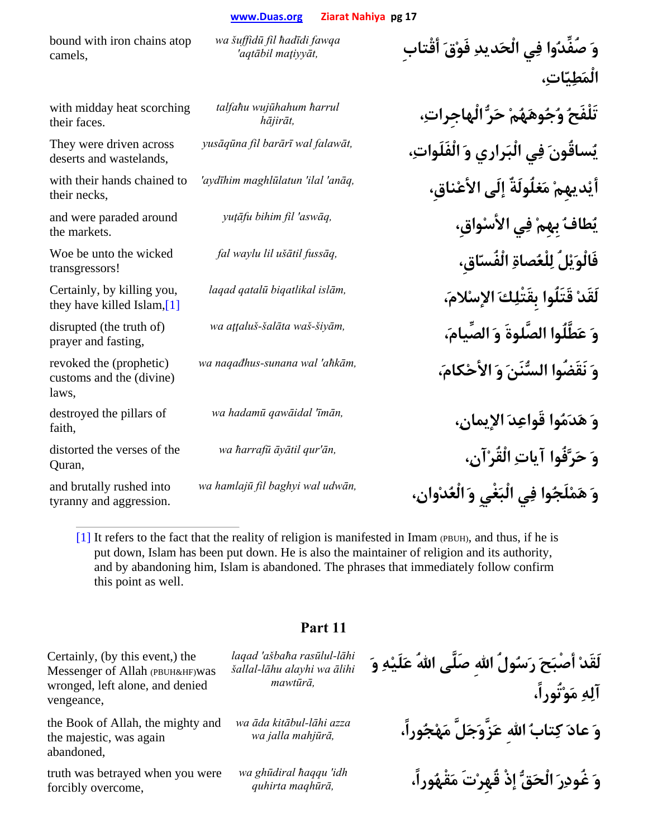bound with iron chains atop camels,

with midday heat scorching their faces.

They were driven across deserts and wastelands,

with their hands chained to their necks,

and were paraded around the markets.

Woe be unto the wicked transgressors!

Certainly, by killing you, they have killed Islam,[1]

disrupted (the truth of) prayer and fasting,

revoked the (prophetic) customs and the (divine) laws,

destroyed the pillars of faith,

distorted the verses of the Quran,

and brutally rushed into tyranny and aggression. *wa šuffidū fil ħadīdi fawqa* 

*talfaħu wujūhahum ħarrul* 

**وَ صُفِّدُوا فِي الْحَديدِ فَوْقَ أقْتابِ** *,maţiyyāt aqtābil'* **الْمَطِيّات،ِ**

**تَلْفَحُ وُجُوهَهُمْ حَرُّ الْهاجِرات،ِ** *,hājirā<sup>t</sup>* **يُساقُونَ فِي الْبَراري وَ الْفَلَوات،ِ** *,falawāt wal barārī fil yusāqūna* **أيْديهِمْ مَغلُولَةٌ إلَى الأعْناقِ،** *,anāq 'ilal 'maghlūlatun aydīhim'* **يُطافُ بِهِمْ فِي الأسْواقِ،** *,aswāq 'fil bihim yuţāfu* **فَالْوَيْلُ لِلْعُصاةِ الْفُسّاقِ،** *,fussāq ušātil lil waylu fal* **لَقَدْ قَتَلُوا بِقَتْلِكَ الإسْلام،َ** *,islām biqatlikal qatalū laqad* **وَ عَطَّلُوا الصَّلوةَ وَ الصِّيام،َ** *,šiyām-waš šalāta-aţţaluš wa* **وَ نَقَضُوا السُّنَنَ وَ الأحْكام،َ** *,aħkām 'wal sunana-naqađhus wa*

**وَ هَدَمُوا قَواعِدَ الإيمان،ِ** *,īmān 'qawāidal hadamū wa* **وَ حَرَّفُوا آياتِ الْقُرْآن،ِ** *,ān'qur āyātil <sup>ħ</sup>arrafū wa* **وَ هَمْلَجُوا فِي الْبَغْيِ وَ الْعُدْوان،ِ** *,udwān wal baghyi fil hamlajū wa*

 $[1]$  It refers to the fact that the reality of religion is manifested in Imam (PBUH), and thus, if he is put down, Islam has been put down. He is also the maintainer of religion and its authority, and by abandoning him, Islam is abandoned. The phrases that immediately follow confirm this point as well.

**Part 11** 

Certainly, (by this event,) the Messenger of Allah (PBUH&HF)was wronged, left alone, and denied vengeance,

the Book of Allah, the mighty and the majestic, was again abandoned,

truth was betrayed when you were forcibly overcome,

*laqad 'ašbaħa rasūlul-lāhi šallal-lāhu alayhi wa ālihi mawtūrā,*

*wa āda kitābul-lāhi azza* 

*wa ghūdiral ħaqqu 'idh* 

**لَقَدْ أصْبَحَ رَسُولُ االلهِ صَلَّى االلهُ عَلَيْهِ وَ آلِهِ مَوْتُوراً، وَ عادَ كِتابُ االلهِ عَزَّوَجَلَّ مَهْجُوراً،** *,mahjūrā jalla wa* **وَ غُودِرَ الْحَقُّ إذْ قُهِرْتَ مَقْهُوراً،** *,maqhūrā quhirta*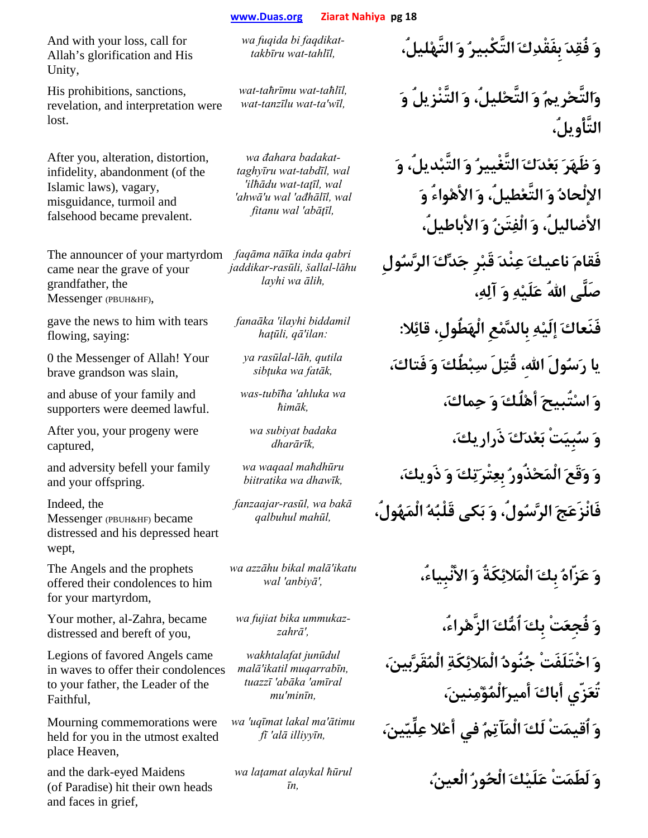And with your loss, call for Allah's glorification and His Unity,

His prohibitions, sanctions, revelation, and interpretation were lost.

After you, alteration, distortion, infidelity, abandonment (of the Islamic laws), vagary, misguidance, turmoil and falsehood became prevalent.

The announcer of your martyrdom came near the grave of your grandfather, the Messenger (PBUH&HF),

gave the news to him with tears flowing, saying:

0 the Messenger of Allah! Your brave grandson was slain,

and abuse of your family and supporters were deemed lawful.

After you, your progeny were captured,

and adversity befell your family and your offspring.

Indeed, the Messenger (PBUH&HF) became distressed and his depressed heart wept,

The Angels and the prophets offered their condolences to him for your martyrdom,

Your mother, al-Zahra, became distressed and bereft of you,

Legions of favored Angels came in waves to offer their condolences to your father, the Leader of the Faithful,

Mourning commemorations were held for you in the utmost exalted place Heaven,

and the dark-eyed Maidens (of Paradise) hit their own heads and faces in grief,

*faqdikat bi fuqida wa*

*wat-taħrīmu wat-taħlīl,* 

*wa đahara badakattaghyīru wat-tabdīl, wal 'ilħādu wat-taţīl, wal 'ahwā'u wal 'ađhālīl, wal fitanu wal 'abāţīl,*

*faqāma nāīka inda qabri jaddikar-rasūli, šallal-lāhu layhi wa ālih,*

*fanaāka 'ilayhi biddamil* 

*ya rasūlal-lāh, qutila* 

*was-tubīħa 'ahluka wa* 

*wa subiyat badaka* 

*wa waqaal maħdhūru* 

*fanzaajar-rasūl, wa bakā*

*wa azzāhu bikal malā'ikatu* 

wa fujiat bika ummukaz-

*wakhtalafat junūdul malā'ikatil muqarrabīn, tuazzī 'abāka 'amīral mu'minīn,*

*wa 'uqīmat lakal ma'ātimu* 

*wa laţamat alaykal ħūrul* 

**وَ فُقِدَ بِفَقْدِكَ التَّكْبيرُ وَ التَّهْليلُ،** *,tahlīl-wat takbīru-*

**وَالتَّحْريمُ وَ التَّحْليلُ، وَ التَّنْزيلُ وَ** *,wīl'ta-wat tanzīlu-wat* **التَّأْويلُ،**

> **وَ ظَهَرَ بَعْدَكَ التَّغْييرُ وَ التَّبْديلُ، وَ الإلْحادُ وَ التَّعْطيلُ، وَ الأهْواءُ وَ الأضاليلُ، وَ الْفِتَنُ وَ الأباطيلُ،**

**فَقامَ ناعيكَ عِنْدَ قَبْرِ جَدِّكَ الرَّسُولِ صَلَّى االلهُ عَلَيْهِ وَ آلِه،ِ**

**فَنَعاكَ إلَيْهِ بِالدَّمْعِ الْهَطُولِ، قائِلا:** *:ilan'qā ,haţūli* **يا رَسُولَ االله،ِ قُتِلَ سِبْطُكَ وَ فَتاك،َ** *,fatāk wa sibţuka* **وَ اسْتُبيحَ أهْلُكَ وَ حِماك،َ** *,ħimā<sup>k</sup>* **وَ سُبِيَتْ بَعْدَكَ ذَراريك،َ** *,dharārī<sup>k</sup>* **وَ وَقَعَ الْمَحْذُورُ بِعِتْرَتِكَ وَ ذَويك،َ** *,dhawīk wa biitratika*

**فَانْزَعَجَ الرَّسُولُ، وَ بَكى قَلْبُهُ الْمَهُولُ،** *,mahūl qalbuhul*

**وَ عَزّاهُ بِكَ الْمَلائِكَةُ وَ الأنْبِياء،ُ** *,'anbiyā 'wal*

**وَ فُجِعَتْ بِكَ اُمُّكَ الزَّهْراء،ُ** *,'zahrā-***وَ اخْتَلَفَتْ جُنُودُ الْمَلائِكَةِ الْمُقَرَّبين،َ تُعَزّي أباكَ أميرَالْمُؤْمِنين،َ وَ اُقيمَتْ لَكَ الْمَآتِمُ في أعْلا عِلِّيّين،َ** *,illiyyīn alā 'f<sup>ī</sup>*

**وَ لَطَمَتْ عَلَيْكَ الْحُورُ الْعين،ُ** *,ī<sup>n</sup>*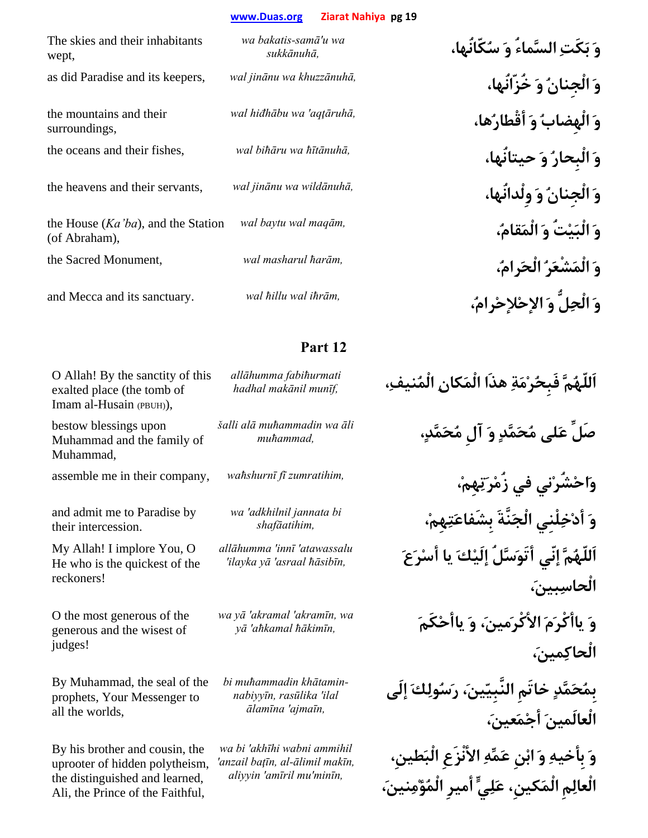| The skies and their inhabitants<br>wept,               | wa bakatis-samā'u wa<br>sukkānuhā, |
|--------------------------------------------------------|------------------------------------|
| as did Paradise and its keepers,                       | wal jinānu wa khuzzānuhā,          |
| the mountains and their<br>surroundings,               | wal hiđhābu wa 'aqtāruhā,          |
| the oceans and their fishes,                           | wal bihāru wa hītānuhā,            |
| the heavens and their servants,                        | wal jinānu wa wildānuhā,           |
| the House $(Ka'ba)$ , and the Station<br>(of Abraham), | wal baytu wal maqām,               |
| the Sacred Monument,                                   | wal masharul ħarām,                |
| and Mecca and its sanctuary.                           | wal hillu wal ihrām,               |

## **Part 12**

O Allah! By the sanctity of this exalted place (the tomb of Imam al-Husain (PBUH)),

bestow blessings upon Muhammad and the family of Muhammad,

and admit me to Paradise by their intercession.

My Allah! I implore You, O He who is the quickest of the reckoners!

O the most generous of the generous and the wisest of judges!

By Muhammad, the seal of the prophets, Your Messenger to all the worlds,

By his brother and cousin, the uprooter of hidden polytheism, the distinguished and learned, Ali, the Prince of the Faithful,

*allāhumma fabiħurmati* 

*šalli alā muħammadin wa āli* 

*wa 'adkhilnil jannata bi* 

*allāhumma 'innī 'atawassalu* 

*wa yā 'akramal 'akramīn, wa* 

*bi muħammadin khātaminnabiyyīn, rasūlika 'ilal ālamīna 'ajmaīn,*

*wa bi 'akhīhi wabni ammihil 'anzail baţīn, al-ālimil makīn, aliyyin 'amīril mu'minīn,*

**وَ بَكَتِ السَّماءُ وَ سُكّانُها،** *,sukkānuh<sup>ā</sup>* as did Paradise and its keepers, *wal jinānu wa khuzzānuhā,* **،خُزّانُها َو ُالْجِنان َو وَ الْهِضابُ وَ أقْطارُها،** *,aqţāruhā 'wa hiđhābu wal* the oceans and their fishes, *wal biħāru wa ħītānuhā,* **،حيتانُها َو ُالْبِحار َو** the heavens and their servants, *wal jinānu wa wildānuhā,* **،وِلْدانُها َو ُالْجِنان َو وَ الْبَيْتُ وَ الْمَقام،ُ** *,maqām wal baytu wal* **وَ الْمَشْعَرُ الْحَرام،ُ** *,ħarām masharul wal* ,Monument Sacred the and Mecca and its sanctuary. *wal ħillu wal iħrām,* **،ُرامْلإحْالإح َو لُِّالْح َو**

**اَللّهُمَّ فَبِحُرْمَةِ هذَا الْمَكانِ الْمُنيف،ِ** *,munīf makānil hadhal* **صَلِّ عَلى مُحَمَّدٍ وَ آلِ مُحَمَّد،ٍ** *,muħammad* **وَاحْشُرْني في زُمْرَتِهِم،ْ** *,zumratihim fī waħshurnī* ,company their in me assemble **وَ أدْخِلْنِي الْجَنَّةَ بِشَفاعَتِهِم،ْ** *,shafāatihim* **اَللّهُمَّ إنّي أتَوَسَّلُ إلَيْكَ يا أسْرَعَ** *,ħāsibīn asraal 'yā ilayka'* **الْحاسِبين،َ وَ ياأكْرَمَ الأكْرَمين،َ وَ ياأحْكَمَ** *,ħākimīn aħkamal 'y<sup>ā</sup>* **الْحاكِمين،َ بِمُحَمَّدٍ خاتَمِ النَّبِيّين،َ رَسُولِكَ إلَى الْعالَمينَ أجْمَعين،َ وَ بِأخيهِ وَ ابْنِ عَمِّهِ الأنْزَعِ الْبَطينِ، الْعالِمِ الْمَكينِ، عَلِيٍّ أميرِ الْمُؤْمِنين،َ**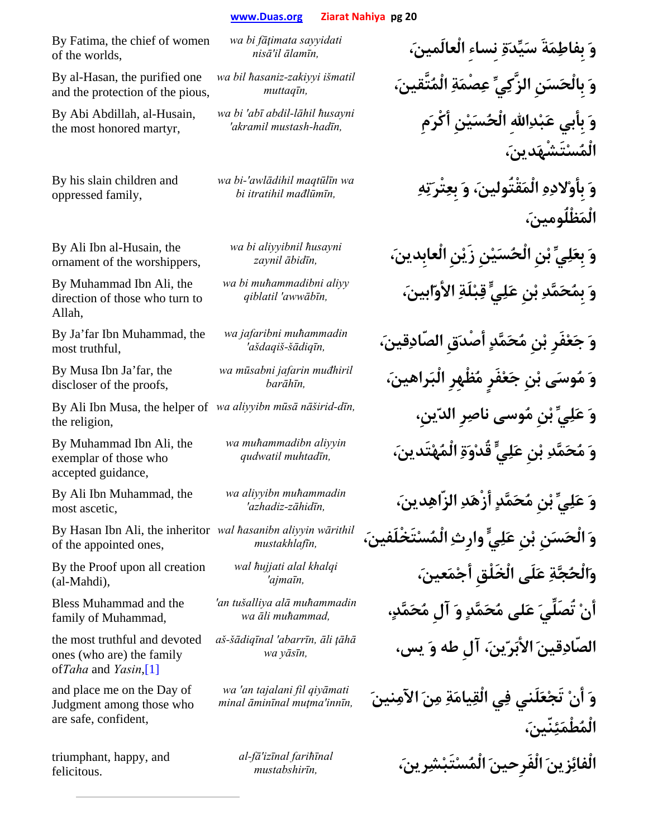By Fatima, the chief of women of the worlds,

By al-Hasan, the purified one and the protection of the pious,

By Abi Abdillah, al-Husain, the most honored martyr,

By his slain children and oppressed family,

By Ali Ibn al-Husain, the ornament of the worshippers,

By Muhammad Ibn Ali, the direction of those who turn to Allah,

By Ja'far Ibn Muhammad, the most truthful,

By Musa Ibn Ja'far, the discloser of the proofs,

By Ali Ibn Musa, the helper of wa aliyyibn mūsā nāširid-dīn, the religion,

By Muhammad Ibn Ali, the exemplar of those who accepted guidance,

By Ali Ibn Muhammad, the most ascetic,

of the appointed ones,

By the Proof upon all creation (al-Mahdi),

Bless Muhammad and the family of Muhammad,

the most truthful and devoted ones (who are) the family of*Taha* and *Yasin*,[1]

and place me on the Day of Judgment among those who are safe, confident,

triumphant, happy, and felicitous.

*wa bi fāţimata sayyidati* 

*wa bil ħasaniz-zakiyyi išmatil* 

*wa bi 'abī abdil-lāhil ħusayni* 

*wa bi-'awlādihil maqtūlīn wa* 

*wa bi aliyyibnil ħusayni* 

*wa bi muħammadibni aliyy* 

*wa jafaribni muħammadin* 

*wa mūsabni jafarin muđhiril* 

*wa muħammadibn aliyyin* 

*wa aliyyibn muħammadin* 

By Hasan Ibn Ali, the inheritor *wal ħasanibn aliyyin wārithil* 

*wal ħujjati alal khalqi* 

*'an tušalliya alā muħammadin* 

*aš-šādiqīnal 'abarrīn, āli ţāhā*

*wa 'an tajalani fil qiyāmati* 

*al-fā'izīnal fariħīnal* 

**وَ بِفاطِمَةَ سَيِّدَةِ نِساءِ الْعالَمين،َ** *,ālamīn il'nis<sup>ā</sup>* **وَ بِالْحَسَنِ الزَّكِيِّ عِصْمَةِ الْمُتَّقين،َ** *,muttaqī<sup>n</sup>* **وَ بِأبي عَبْدِااللهِ الْحُسَيْنِ أكْرَمِ** *,hadīn-mustash akramil'* **الْمُسْتَشْهَدين،َ وَ بِأوْلادِهِ الْمَقْتُولين،َ وَ بِعِتْرَتِهِ** *,mađlūmīn itratihil bi* **الْمَظْلُومين،َ وَ بِعَلِيِّ بْنِ الْحُسَيْنِ زَيْنِ الْعابِدين،َ** *,ābidīn zaynil* **وَ بِمُحَمَّدِ بْنِ عَلِيٍّ قِبْلَةِ الأوّابين،َ** *,awwābīn 'qiblatil* **وَ جَعْفَرِ بْنِ مُحَمَّدٍ أصْدَقِ الصّادِقين،َ** *,šādiqīn-ašdaqiš'* **وَ مُوسَى بْنِ جَعْفَرٍ مُظْهِرِ الْبَراهين،َ** *,barāhī<sup>n</sup>* **وَ عَلِيِّ بْنِ مُوسى ناصِرِ الدّينِ،** *,dīn-nāširid mūsā aliyyibn wa* **وَ مُحَمَّدِ بْنِ عَلِيٍّ قُدْوَةِ الْمُهْتَدين،َ** *,muhtadīn qudwatil* **وَ عَلِيِّ بْنِ مُحَمَّدٍ أزْهَدِ الزّاهِدين،َ** *,zāhidīn-azhadiz'* **وَ الْحَسَنِ بْنِ عَلِيٍّ وارِثِ الْمُسْتَخْلَفين،َ** *,mustakhlafī<sup>n</sup>* **وَالْحُجَّةِ عَلَى الْخَلْقِ أجْمَعين،َ** *,ajmaīn'* **أنْ تُصَلِّيَ عَلى مُحَمَّدٍ وَ آلِ مُحَمَّد،ٍ** *,muħammad āli wa* **الصّادِقينَ الأبَرّين،َ آلِ طه وَ يس،** *,yāsīn wa*

**وَ أنْ تَجْعَلَني فِي الْقِيامَةِ مِنَ الآمِنينَ** *,innīn'muţma āminīnal minal* **الْمُطْمَئِنّين،َ الْفائِزينَ الْفَرِحينَ الْمُسْتَبْشِرين،َ** *,mustabshirī<sup>n</sup>*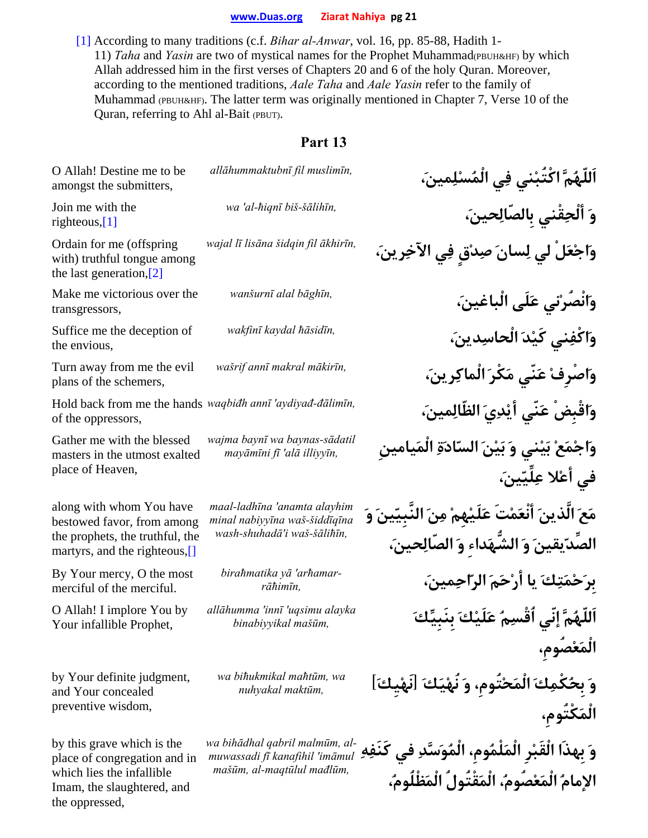[1] According to many traditions (c.f. *Bihar al-Anwar*, vol. 16, pp. 85-88, Hadith 1- 11) *Taha* and *Yasin* are two of mystical names for the Prophet Muhammad(PBUH&HF) by which Allah addressed him in the first verses of Chapters 20 and 6 of the holy Quran. Moreover, according to the mentioned traditions, *Aale Taha* and *Aale Yasin* refer to the family of Muhammad (PBUH&HF). The latter term was originally mentioned in Chapter 7, Verse 10 of the Quran, referring to Ahl al-Bait (PBUT).

| O Allah! Destine me to be<br>amongst the submitters,                                                                                    | allāhummaktubnī fil muslimīn,                                                                  | اَللّهُمَّ اكْتَبْني فِي الْمُسْلِمينَ،                                                                          |
|-----------------------------------------------------------------------------------------------------------------------------------------|------------------------------------------------------------------------------------------------|------------------------------------------------------------------------------------------------------------------|
| Join me with the<br>righteous, $[1]$                                                                                                    | wa 'al-hiqnī biš-šālihīn,                                                                      | وَ أَلْحِقْني بِالصّالِحينَ،                                                                                     |
| Ordain for me (offspring)<br>with) truthful tongue among<br>the last generation, $[2]$                                                  | wajal lī lisāna šidqin fil ākhirīn,                                                            | وَاجْعَلْ لي لِسانَ صِدْقٍ فِي الآخِرِ بنَ،                                                                      |
| Make me victorious over the<br>transgressors,                                                                                           | wanšurnī alal bāghīn,                                                                          | وَانْصُرْني عَلَى الْباغينَ،                                                                                     |
| Suffice me the deception of<br>the envious,                                                                                             | wakfinī kaydal hāsidīn,                                                                        | وَاكْفِني كَيْدَ الْحاسِدينَ،                                                                                    |
| Turn away from me the evil<br>plans of the schemers,                                                                                    | wašrif annī makral mākirīn,                                                                    | وَاصْرِفْ عَنّى مَكْرَ الْماكِرِينَ،                                                                             |
| Hold back from me the hands waqbidh annī 'aydiyad-dālimīn,<br>of the oppressors,                                                        |                                                                                                | وَاقْبِضْ عَنّى أَيْدِيَ الظّالِمينَ،                                                                            |
| Gather me with the blessed<br>masters in the utmost exalted<br>place of Heaven,                                                         | wajma baynī wa baynas-sādatil<br>mayāmīni fī 'alā illiyyīn,                                    | وَاجْمَعْ بَيْني وَ بَيْنَ السّادَةِ الْمَيامينِ<br>في أعْلا عِلِّيّينَ،                                         |
| along with whom You have<br>bestowed favor, from among<br>the prophets, the truthful, the<br>martyrs, and the righteous,[]              | maal-ladhīna 'anamta alayhim<br>minal nabiyyīna waš-šiddīqīna<br>wash-shuhadā'i waš-šālihīn,   | مَعَ الَّذينَ أَنْعَمْتَ عَلَيْهِمْ مِنَ النَّبِيّينَ وَ<br>الصِّدّيقينَ وَ الشُّهَداءِ وَ الصَّالِحينَ،         |
| By Your mercy, O the most<br>merciful of the merciful.                                                                                  | birahmatika yā 'arhamar-<br>rāħimīn,                                                           | برَحْمَتِكَ يا أَرْحَمَ الرّاحِمينَ،                                                                             |
| O Allah! I implore You by<br>Your infallible Prophet,                                                                                   | allāhumma 'innī 'uqsimu alayka<br>binabiyyikal mašūm,                                          | اَللّهُمَّ إنِّي ٱقْسِمُ عَلَيْكَ بِنَبِيِّكَ                                                                    |
| by Your definite judgment,<br>and Your concealed<br>preventive wisdom,                                                                  | wa bihukmikal mahtūm, wa<br>nuhyakal maktūm,                                                   | وَ بحُكْمِكَ الْمَحْتُومِ، وَ نُهْيَكَ [نَهْيِكَ]<br>الْمَكْتُوم،                                                |
| by this grave which is the<br>place of congregation and in<br>which lies the infallible<br>Imam, the slaughtered, and<br>the oppressed, | wa bihādhal qabril malmūm, al-<br>muwassadi fi kanafihil 'imāmul<br>mašūm, al-maqtūlul mađlūm, | وَ بهذَا الْقَبْرِ الْمَلْمُومِ، الْمُوَسَّدِ في<br>كَنَفِهِ<br>الإمامُ الْمَعْصُومُ، الْمَقْتُولُ الْمَظْلُومُ، |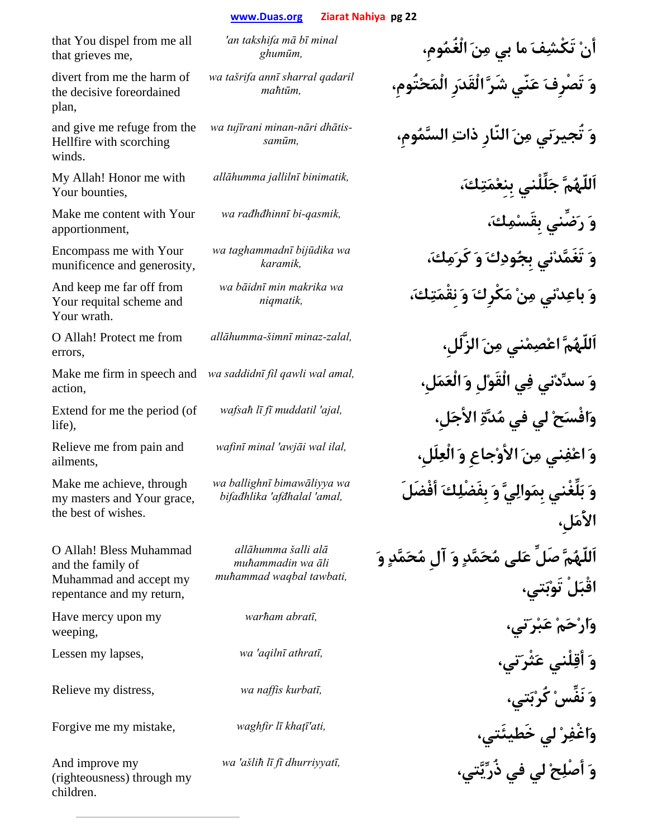that You dispel from me all that grieves me,

divert from me the harm of the decisive foreordained plan,

and give me refuge from the Hellfire with scorching winds.

My Allah! Honor me with Your bounties,

Make me content with Your apportionment,

Encompass me with Your munificence and generosity,

And keep me far off from Your requital scheme and Your wrath.

O Allah! Protect me from errors,

Make me firm in speech and wa saddidnī fil qawli wal amal, action,

Extend for me the period (of life),

Relieve me from pain and ailments,

Make me achieve, through my masters and Your grace, the best of wishes.

O Allah! Bless Muhammad and the family of Muhammad and accept my repentance and my return,

Have mercy upon my weeping,

And improve my (righteousness) through my children.

*'an takshifa mā bī minal* 

*wa tašrifa annī sharral qadaril* 

*dhātis nāri-minan tujīrani wa*

*wa taghammadnī bijūdika wa* 

*wa bāidnī min makrika wa* 

*wa ballighnī bimawāliyya wa* 

*allāhumma šalli alā muħammadin wa āli muħammad waqbal tawbati,*

**وَ أصْلِحْ لي في ذُرِّيَّتي،** *,dhurriyyatī fī lī ašliħ 'wa*

**أنْ تَكْشِفَ ما بي مِنَ الْغُمُومِ،** *,ghumū<sup>m</sup>* **وَ تَصْرِفَ عَنّي شَرَّ الْقَدَرِ الْمَحْتُومِ،** *,maħtū<sup>m</sup>* **وَ تُجيرَني مِنَ النّارِ ذاتِ السَّمُومِ،** *,samūm-***اَللّهُمَّ جَلِّلْني بِنِعْمَتِك،َ** *,binimatik jallilnī allāhumma* **وَ رَضِّني بِقَسْمِك،َ** *,qasmik-bi rađhđhinnī wa* **وَ تَغَمَّدْني بِجُودِكَ وَ كَرَمِك،َ** *,karamik* **وَ باعِدْني مِنْ مَكْرِكَ وَ نِقْمَتِك،َ** *,niqmatik* **اَللّهُمَّ اعْصِمْني مِنَ الزَّلَلِ،** *,zalal-minaz šimnī-allāhumma* **وَ سدِّدْني فِي الْقَوْلِ وَ الْعَمَلِ،** *,amal wal qawli fil saddidnī wa* **وَافْسَحْ لي في مُدَّةِ الأجَلِ،** *,ajal 'muddatil fī lī wafsa<sup>ħ</sup>* **وَ اعْفِني مِنَ الأوْجاعِ وَ الْعِلَلِ،** *,ilal wal awjāi 'minal wafin<sup>ī</sup>* **وَ بَلِّغْني بِمَوالِيَّ وَ بِفَضْلِكَ أفْضَلَ** *,amal 'afđhalal 'bifađhlika* **الأَمَلِ، اَللّهُمَّ صَلِّ عَلى مُحَمَّدٍ وَ آلِ مُحَمَّدٍ وَ اقْبَلْ تَوْبَتي، وَارْحَمْ عَبْرَتي،** *,abratī warħam* **وَ أقِلْني عَثْرَتي،** *,athratī aqilnī 'wa* ,lapses my Lessen Relieve my distress, *wa naffis kurbatī,* **،تيَبْكُر ْنَفِّس َو** Forgive me my mistake, *waghfir lī khaţī'ati,* **،خَطيئَتي لي ْرِاغْفَو**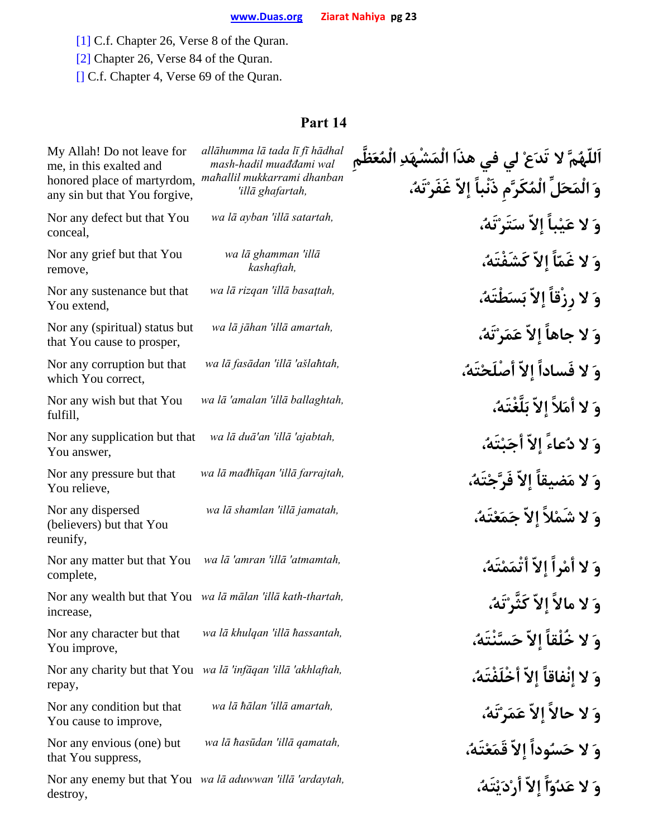[1] C.f. Chapter 26, Verse 8 of the Quran.

[2] Chapter 26, Verse 84 of the Quran.

[] C.f. Chapter 4, Verse 69 of the Quran.

| My Allah! Do not leave for<br>me, in this exalted and                    | allāhumma lā tada lī fī hādhal<br>mash-hadil muađđami wal | اَللّهُمَّ لا تَدَعْ لي في هذا الْمَشْهَدِ الْمُعَظّم |
|--------------------------------------------------------------------------|-----------------------------------------------------------|-------------------------------------------------------|
| honored place of martyrdom,<br>any sin but that You forgive,             | mahallil mukkarrami dhanban<br>'illā ghafartah,           | وَ الْمَحَلِّ الْمُكَرَّم ذَنْباً إِلاّ غَفَرْتَهُ،   |
| Nor any defect but that You<br>conceal,                                  | wa lā ayban 'illā satartah,                               | وَ لا عَيْباً إلاّ سَتَرْتَهُ،                        |
| Nor any grief but that You<br>remove,                                    | wa lā ghamman 'illā<br>kashaftah,                         | وَ لا غَمّاً إِلاّ كَشَفْتَهُ،                        |
| Nor any sustenance but that<br>You extend,                               | wa lā rizqan 'illā basaţtah,                              | وَ لا رزْقاً إلاّ بَسَطْتَهُ،                         |
| Nor any (spiritual) status but<br>that You cause to prosper,             | wa lā jāhan 'illā amartah,                                | وَ لا جاهاً إلاّ عَمَرْتَهُ،                          |
| Nor any corruption but that<br>which You correct,                        | wa lā fasādan 'illā 'ašlahtah,                            | وَ لا فَساداً إِلاّ أَصْلَحْتَهُ،                     |
| Nor any wish but that You<br>fulfill,                                    | wa lā 'amalan 'illā ballaghtah,                           | وَ لا أَمَلاً إِلاّ بَلَّغْتَهُ،                      |
| Nor any supplication but that<br>You answer,                             | wa lā duā'an 'illā 'ajabtah,                              | وَ لا دُعاءً إلاّ أَجَبْتَهُ،                         |
| Nor any pressure but that<br>You relieve,                                | wa lā mađhīgan 'illā farrajtah,                           | وَ لا مَضيقاً إِلاَّ فَرَّجْتَهُ،                     |
| Nor any dispersed<br>(believers) but that You<br>reunify,                | wa lā shamlan 'illā jamatah,                              | وَ لا شَمْلاً إِلاّ جَمَعْتَهُ،                       |
| Nor any matter but that You<br>complete,                                 | wa lā 'amran 'illā 'atmamtah,                             | وَ لا أَمْراً إِلاّ أَتْمَمْتَهُ،                     |
| Nor any wealth but that You wa lā mālan 'illā kath-thartah,<br>increase, |                                                           | وَ لا مالاً إلاّ كَثَّرْتَهُ،                         |
| Nor any character but that<br>You improve,                               | wa lā khulqan 'illā hassantah,                            | وَ لا خُلْقاً إلاّ حَسَّنْتَهُ،                       |
| Nor any charity but that You wa lā 'infāqan 'illā 'akhlaftah,<br>repay,  |                                                           | وَ لا إِنْفاقاً إِلاّ أَخْلَفْتَهُ،                   |
| Nor any condition but that<br>You cause to improve,                      | wa lā hālan 'illā amartah,                                | وَ لا حالاً إلاّ عَمَرْتَهُ،                          |
| Nor any envious (one) but<br>that You suppress,                          | wa lā hasūdan 'illā qamatah,                              | وَ لا حَسُوداً إلاّ قَمَعْتَهُ،                       |
| Nor any enemy but that You wa lā aduwwan 'illā 'ardaytah,<br>destroy,    |                                                           | وَ لا عَدُوّاً إِلاّ أَرْدَيْتَهُ،                    |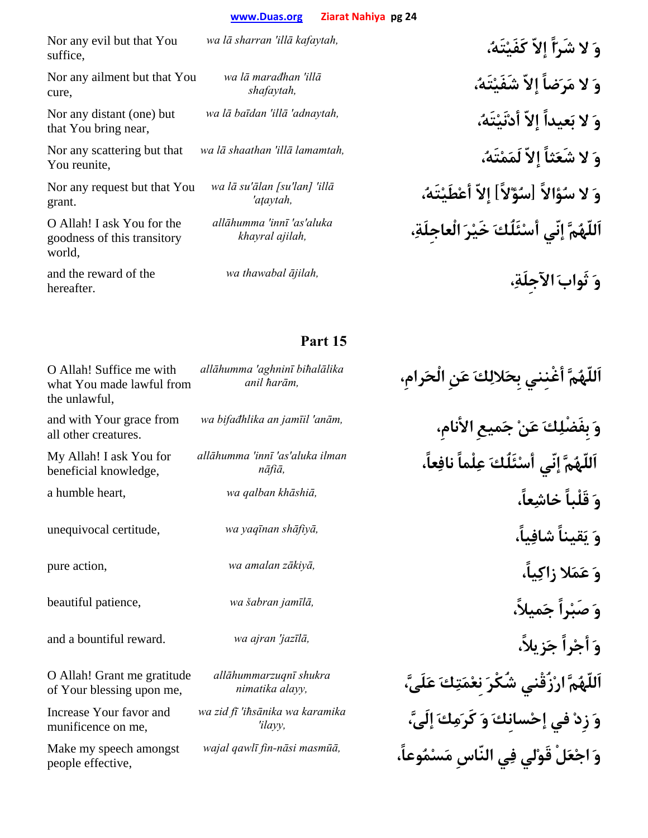Nor any evil but that You suffice,

Nor any ailment but that You cure,

Nor any distant (one) but that You bring near,

Nor any scattering but that You reunite,

Nor any request but that You grant.

O Allah! I ask You for the goodness of this transitory world,

and the reward of the hereafter.

*wa lā marađhan 'illā*

*wa lā su'ālan [su'lan] 'illā*

*allāhumma 'innī 'as'aluka* 

**وَ لا شَرّاً إلاّ كَفَيْتَه،ُ** *,kafaytah illā 'sharran lā wa* **وَ لا مَرَضاً إلاّ شَفَيْتَه،ُ** *,shafaytah* **وَ لا بَعيداً إلاّ أدْنَيْتَه،ُ** *,adnaytah 'illā 'baīdan lā wa* **وَ لا شَعَثاً إلاّ لَمَمْتَه،ُ** *,lamamtah illā 'shaathan lā wa* **وَ لا سُؤالاً [سُؤْلاً] إلاّ أعْطَيْتَه،ُ** *,aţaytah'* **اَللّهُمَّ إنّي أسْئَلُكَ خَيْرَ الْعاجِلَة،ِ** *,ajilah khayral* **وَ ثَوابَ الآجِلَة،ِ** *,ājilah thawabal wa*

| O Allah! Suffice me with<br>what You made lawful from<br>the unlawful, | allāhumma 'aghninī bihalālika<br>anil harām, | ٱللّهُمَّ أغْننى بحَلالِكَ عَنِ الْحَرامِ،    |
|------------------------------------------------------------------------|----------------------------------------------|-----------------------------------------------|
| and with Your grace from<br>all other creatures.                       | wa bifađhlika an jamīil 'anām,               | وَ بفَضْلِكَ عَنْ جَميعِ الأنامِ،             |
| My Allah! I ask You for<br>beneficial knowledge,                       | allāhumma 'innī 'as'aluka ilman<br>nāfiā,    | اَللّهُمَّ إِنّي أَسْنَلُكَ عِلْماً نافِعاً،  |
| a humble heart,                                                        | wa qalban khāshiā,                           | وَ قَلْباً خاشِعاً،                           |
| unequivocal certitude,                                                 | wa yaqīnan shāfiyā,                          | وَ يَقيناً شافِياً،                           |
| pure action,                                                           | wa amalan zākiyā,                            | وَ عَمَلا زاكِياً،                            |
| beautiful patience,                                                    | wa šabran jamīlā,                            | وَ صَبْراً جَميلاً،                           |
| and a bountiful reward.                                                | wa ajran 'jazīlā,                            | وَ أَجْراً جَزِيلاً،                          |
| O Allah! Grant me gratitude<br>of Your blessing upon me,               | allāhummarzuqnī shukra<br>nimatika alayy,    | ٱللّهُمَّ ارْزُقْنى شُكْرَ نعْمَتِكَ عَلَىَّ، |
| Increase Your favor and<br>munificence on me,                          | wa zid fī 'ihsānika wa karamika<br>'ilayy,   | وَ زِدْ في إِحْسانكَ وَ كَرَمِكَ إِلَيَّ،     |
| Make my speech amongst<br>people effective,                            | wajal qawlī fin-nāsi masmūā,                 | وَ اجْعَلْ قَوْلى فِي النَّاسِ مَسْمُوعاً،    |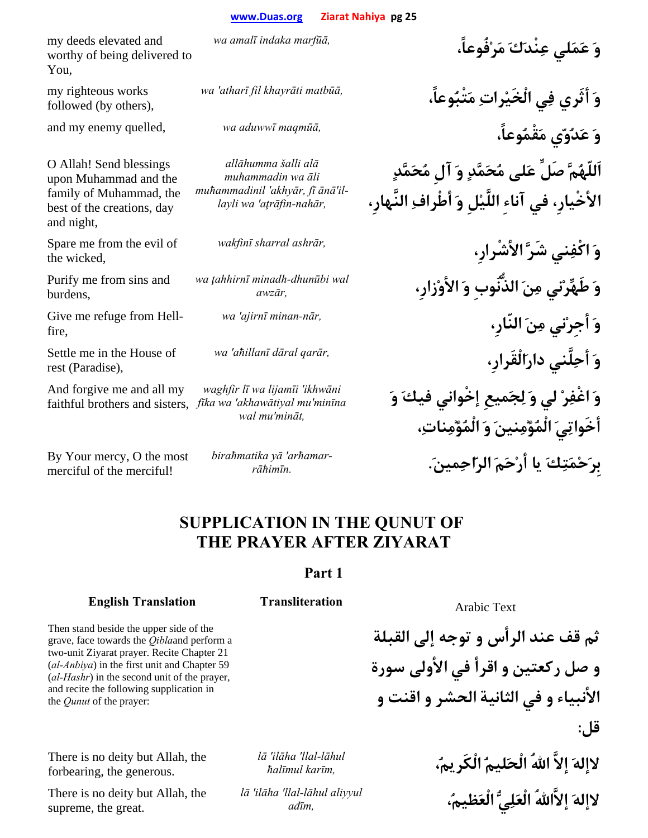my deeds elevated and worthy of being delivered to You,

my righteous works followed (by others),

O Allah! Send blessings upon Muhammad and the family of Muhammad, the best of the creations, day and night,

Spare me from the evil of the wicked,

Purify me from sins and burdens,

Give me refuge from Hellfire,

Settle me in the House of rest (Paradise),

And forgive me and all my

By Your mercy, O the most merciful of the merciful!

*allāhumma šalli alā muħammadin wa āli muħammadinil 'akhyār, fī ānā'illayli wa 'aţrāfin-nahār,*

*wa ţahhirnī minadh-dhunūbi wal* 

faithful brothers and sisters, *fīka wa 'akhawātiyal mu'minīna waghfir lī wa lijamīi 'ikhwāni wal mu'mināt,*

*arħamar 'yā biraħmatika*

**وَ عَمَلي عِنْدَكَ مَرْفُوعاً،** *,marfūā indaka amalī wa*

**وَ أثَري فِي الْخَيْراتِ مَتْبُوعاً،** *,matbūā khayrāti fil atharī 'wa* **وَ عَدُوّي مَقْمُوعاً،** *,maqmūā aduwwī wa* ,quelled enemy my and **اَللّهُمَّ صَلِّ عَلى مُحَمَّدٍ وَ آلِ مُحَمَّدٍ الأخْيارِ، في آناءِ اللَّيْلِ وَ أطْرافِ النَّهارِ،**

> **وَ اكْفِني شَرَّ الأشْرارِ،** *,ashrār sharral wakfin<sup>ī</sup>* **وَ طَهِّرْني مِنَ الذُّنُوبِ وَ الأوْزارِ،** *,awzā<sup>r</sup>* **وَ أجِرْني مِنَ النّارِ،** *,nār-minan ajirnī 'wa* **وَ أحِلَّني دارَالْقَرارِ،** *,qarār dāral aħillanī 'wa* **وَ اغْفِرْ لي وَ لِجَميعِ إخْواني فيكَ وَ أخَواتِيَ الْمُؤْمِنينَ وَ الْمُؤْمِنات،ِ بِرَحْمَتِكَ يا أرْحَمَ الرّاحِمين**.**َ** *.rāħimīn-*

# **SUPPLICATION IN THE QUNUT OF THE PRAYER AFTER ZIYARAT**

## **Part 1**

# **English Translation Transliteration Arabic Text**

**ثم قف عند الرأس و توجه إلى القبلة و صل ركعتين و اقرأ في الأولى سورة الأنبياء و في الثانية الحشر و اقنت و قل:**

**لاإلهَ إلاَّ االلهُ الْحَليمُ الْكَريم،ُ** *,karīm ħalīmul* **لاإلهَ إلاَّااللهُ الْعَلِيُّ الْعَظيم،ُ** *,ađī<sup>m</sup>*

Then stand beside the upper side of the grave, face towards the *Qibla*and perform a two-unit Ziyarat prayer. Recite Chapter 21 (*al-Anbiya*) in the first unit and Chapter 59 (*al-Hashr*) in the second unit of the prayer, and recite the following supplication in the *Qunut* of the prayer:

There is no deity but Allah, the forbearing, the generous.

There is no deity but Allah, the supreme, the great.

*lā 'ilāha 'llal-lāhul* 

*lā 'ilāha 'llal-lāhul aliyyul*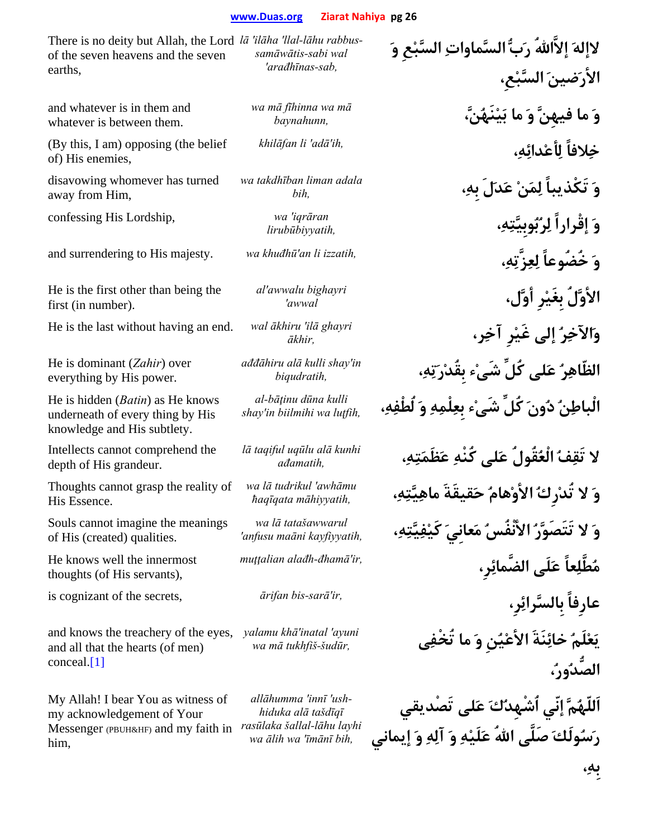There is no deity but Allah, the Lord *lā 'ilāha 'llal-lāhu rabbus*of the seven heavens and the seven earths, *samāwātis-sabi wal 'arađhīnas-sab,*

and whatever is in them and whatever is between them.

(By this, I am) opposing (the belief of) His enemies,

disavowing whomever has turned away from Him,

confessing His Lordship, *wa 'iqrāran* 

He is the first other than being the first (in number).

He is the last without having an end. *wal ākhiru 'ilā ghayri* 

He is dominant (*Zahir*) over everything by His power.

He is hidden (*Batin*) as He knows underneath of every thing by His knowledge and His subtlety.

Intellects cannot comprehend the depth of His grandeur.

Thoughts cannot grasp the reality of His Essence.

Souls cannot imagine the meanings of His (created) qualities.

He knows well the innermost thoughts (of His servants),

and knows the treachery of the eyes, and all that the hearts (of men) conceal.[1]

My Allah! I bear You as witness of my acknowledgement of Your Messenger (PBUH&HF) and my faith in *rasūlaka šallal-lāhu layhi*  him,

*wa mā fīhinna wa mā*

*wa takdhīban liman adala* 

*al'awwalu bighayri* 

*ađđāhiru alā kulli shay'in* 

*al-bāţinu dūna kulli* 

*lā taqiful uqūlu alā kunhi* 

*wa lā tudrikul 'awhāmu* 

*wa lā tatašawwarul* 

*yalamu khā'inatal 'ayuni* 

*allāhumma 'innī 'ushhiduka alā tašdīqī wa ālih wa 'īmānī bih,*

**لاإلهَ إلاَّااللهُ رَبُّ السَّماواتِ السَّبْعِ وَ الأرَضينَ السَّبْعِ، وَ ما فيهِنَّ وَ ما بَيْنَهُنَّ،** *,baynahunn* **خِلافاً لِأعْدائِه،ِ** *,ih'adā 'li khilāfan* **وَ تَكْذيباً لِمَنْ عَدَلَ بِه،ِ** *,bih* **وَ إقْراراً لِرُبُوبِيَّتِه،ِ** *,lirubūbiyyatih* and surrendering to His majesty. *wa khuđhū'an li izzatih,* **،ِهِزَّتِعِل خُضُوعاً َو الأوَّلُ بِغَيْرِ أوَّل،** *awwal'* **وَالآخِرُ إلى غَيْرِ آخِر،** *,ākhir* **الظّاهِرُ عَلى كُلِّ شَىْء بِقُدْرَتِه،ِ** *,biqudratih* **الْباطِنُ دُونَ كُلِّ شَىْء بِعِلْمِهِ وَ لُطْفِه،ِ** *,luţfih wa biilmihi in'shay* **لا تَقِفُ الْعُقُولُ عَلى كُنْهِ عَظَمَتِه،ِ** *,ađamatih* **وَ لا تُدْرِكُ الأوْهامُ حَقيقَةَ ماهِيَّتِه،ِ** *,māhiyyatih ħaqīqata* **وَ لا تَتَصَوَّرُ الأنْفُسُ مَعانِيَ كَيْفِيَّتِه،ِ** *,kayfiyyatih maāni anfusu'* **مُطَّلِعاً عَلَى الضَّمائِرِ،** *,ir'đhamā-alađh muţţalian* is cognizant of the secrets, *ārifan bis-sarā'ir,* **،رِِبِالسَّرائ عارِفاً يَعْلَمُ خائِنَةَ الأعْيُنِ وَ ما تُخْفِى** *,šudūr-tukhfiš mā wa* **الصُّدُور،ُ اَللّهُمَّ إنّي اُشْهِدُكَ عَلى تَصْديقي رَسُولَكَ صَلَّى االلهُ عَلَيْهِ وَ آلِهِ وَ إيماني**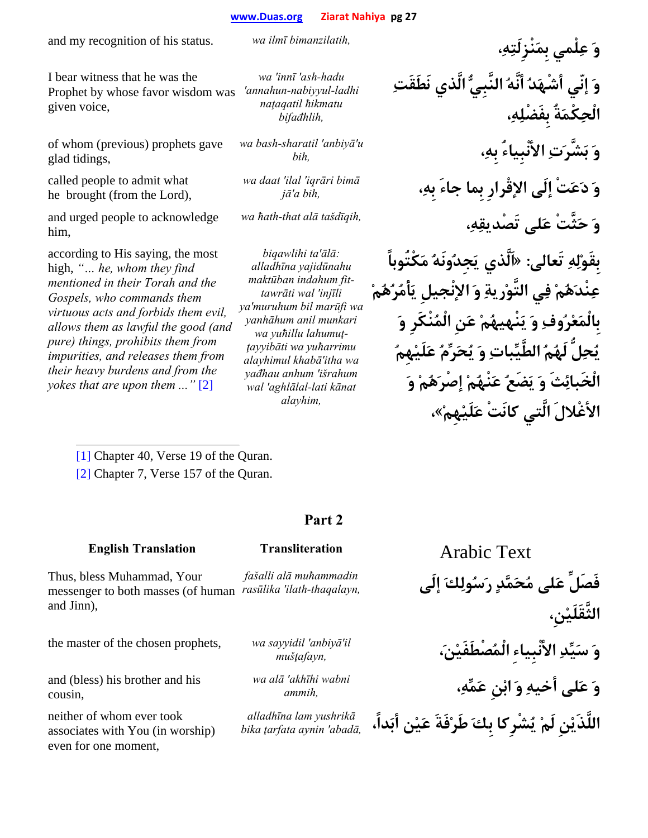I bear witness that he was the Prophet by whose favor wisdom was given voice,

of whom (previous) prophets gave glad tidings,

called people to admit what he brought (from the Lord),

and urged people to acknowledge him,

according to His saying, the most high, *"… he, whom they find mentioned in their Torah and the Gospels, who commands them virtuous acts and forbids them evil, allows them as lawful the good (and pure) things, prohibits them from impurities, and releases them from their heavy burdens and from the yokes that are upon them ..."* [2]

*wa 'innī 'ash-hadu 'annahun-nabiyyul-ladhi naţaqatil ħikmatu* 

*wa bash-sharatil 'anbiyā'u* 

*bifađhlih,*

*wa daat 'ilal 'iqrāri bimā*

*biqawlihi ta'ālā: alladhīna yajidūnahu maktūban indahum fittawrāti wal 'injīli ya'muruhum bil marūfi wa yanhāhum anil munkari wa yuħillu lahumuţţayyibāti wa yuħarrimu alayhimul khabā'itha wa yađhau anhum 'išrahum wal 'aghlālal-lati kānat alayhim,*

and my recognition of his status. *wa ilmī bimanzilatih,* **،ِهِنْزِلَتَبِم لْميِع َو وَ إنّي أشْهَدُ أنَّهُ النَّبِيُّ الَّذي نَطَقَتِ الْحِكْمَةُ بِفَضْلِه،ِ وَ بَشَّرَتِ الأنْبِياءُ بِه،ِ** *,bih* **وَ دَعَتْ إلَى الإقْرارِ بِما جاءَ بِه،ِ** *,bih a'j<sup>ā</sup>* **وَ حَثَّتْ عَلى تَصْديقِه،ِ** *,tašdīqih alā that-ħath wa* **بِقَوْلِهِ تَعالى: «اَلَّذي يَجِدُونَهُ مَكْتُوباً عِنْدَهُمْ فِي التَّوْريةِ وَ الإنْجيلِ يَأْمُرُهُمْ بِالْمَعْرُوفِ وَ يَنْهيهُمْ عَنِ الْمُنْكَرِ وَ يُحِلُّ لَهُمُ الطَّيِّباتِ وَ يُحَرِّمُ عَلَيْهِمُ الْخَبائِثَ وَ يَضَعُ عَنْهُمْ إصْرَهُمْ وَ الأغْلالَ الَّتي كانَتْ عَلَيْهِمْ»،**

[1] Chapter 40, Verse 19 of the Quran.

[2] Chapter 7, Verse 157 of the Quran.

## **Part 2**

## **English Translation Transliteration Arabic Text**

*fašalli alā muħammadin* 

Thus, bless Muhammad, Your messenger to both masses (of human rasūlika 'ilath-thaqalayn, and Jinn),

the master of the chosen prophets, *wa sayyidil 'anbiyā'il* 

and (bless) his brother and his cousin,

neither of whom ever took associates with You (in worship) even for one moment,

*wa alā 'akhīhi wabni* 

*alladhīna lam yushrikā* **اللَّذَيْنِ لَمْ يُشْرِكا بِكَ طَرْفَةَ عَيْن أبَداً،** *,abadā 'aynin ţarfata bika*

**فَصَلِّ عَلى مُحَمَّدٍ رَسُولِكَ إلَى** *,thaqalayn-ilath 'rasūlika* **الثَّقَلَيْنِ، وَ سَيِّدِ الأنْبِياءِ الْمُصْطَفَيْن،َ** *,mušţafayn* **وَ عَلى أخيهِ وَ ابْنِ عَمِّه،ِ** *,ammih*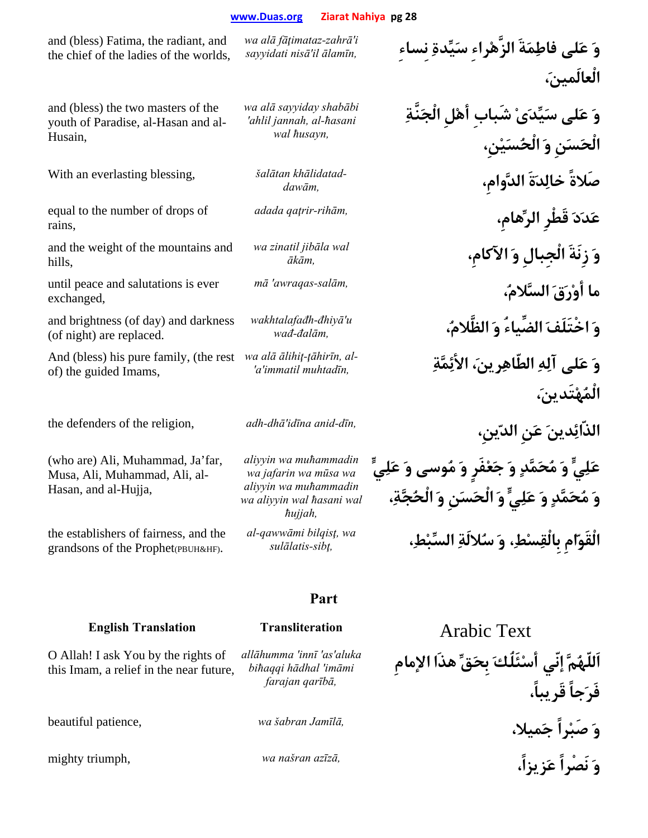and (bless) Fatima, the radiant, and the chief of the ladies of the worlds, *wa alā fāţimataz-zahrā'i* 

*wa alā sayyiday shabābi 'ahlil jannah, al-ħasani wal ħusayn,*

and (bless) the two masters of the youth of Paradise, al-Hasan and al-Husain,

With an everlasting blessing, *šalātan khālidatad-*

equal to the number of drops of rains,

and the weight of the mountains and hills,

until peace and salutations is ever exchanged,

and brightness (of day) and darkness (of night) are replaced.

And (bless) his pure family, (the rest of) the guided Imams,

(who are) Ali, Muhammad, Ja'far, Musa, Ali, Muhammad, Ali, al-Hasan, and al-Hujja,

the establishers of fairness, and the grandsons of the Prophet(PBUH&HF).

*aliyyin wa muħammadin wa jafarin wa mūsa wa aliyyin wa muħammadin wa aliyyin wal ħasani wal ħujjah, al-qawwāmi bilqisţ, wa* 

**Part** 

# **English Translation Transliteration Arabic Text**

O Allah! I ask You by the rights of this Imam, a relief in the near future,

*allāhumma 'innī 'as'aluka biħaqqi hādhal 'imāmi farajan qarībā,*

**وَ عَلى فاطِمَةَ الزَّهْراءِ سَيِّدةِ نِساءِ** *,ālamīn il'nisā sayyidati* **الْعالَمين،َ**

**وَ عَلى سَيِّدَىْ شَبابِ أهْلِ الْجَنَّةِ الْحَسَنِ وَ الْحُسَيْنِ،** *dawām,* **،الدَّوامِ ةََدِخال صَلاةً عَدَدَ قَطْرِ الرِّهامِ،** *,rihām-qaţrir adada* **وَ زِنَةَ الْجِبالِ وَ الآكامِ،** *,ākā<sup>m</sup>* **ما أوْرَقَ السَّلام،ُ** *,salām-awraqas 'm<sup>ā</sup>* **وَ اخْتَلَفَ الضِّياءُ وَ الظَّلام،ُ** *,đalām-wa<sup>đ</sup>* **وَ عَلى آلِهِ الطّاهِرين،َ الأئِمَّةِ** *,muhtadīn immatil'a'* **الْمُهْتَدين،َ** the defenders of the religion, *adh-dhā'idīna anid-dīn,* **،ينِّالد نَِع َدينِالذّائ عَلِيٍّ وَ مُحَمَّدٍ وَ جَعْفَرٍ وَ مُوسى وَ عَلِيٍّ وَ مُحَمَّدٍ وَ عَلِيٍّ وَ الْحَسَنِ وَ الْحُجَّة،ِ الْقَوّامِ بِالْقِسْط،ِ وَ سُلالَةِ السِّبْط،ِ** *,sibţ-sulālatis*

**اَللّهُمَّ إنّي أسْئَلُكَ بِحَقِّ هذَا الإمامِ فَرَجاً قَريباً، وَ صَبْراً جَميلا،** *,Jamīlā šabran wa* ,patience beautiful mighty triumph, *wa našran azīzā,* **،زيزاًَع نَصْراً َو**

*wakhtalafađh-đhiyā'u* 

*wa zinatil jibāla wal* 

*wa alā ālihiţ-ţāhirīn, al-*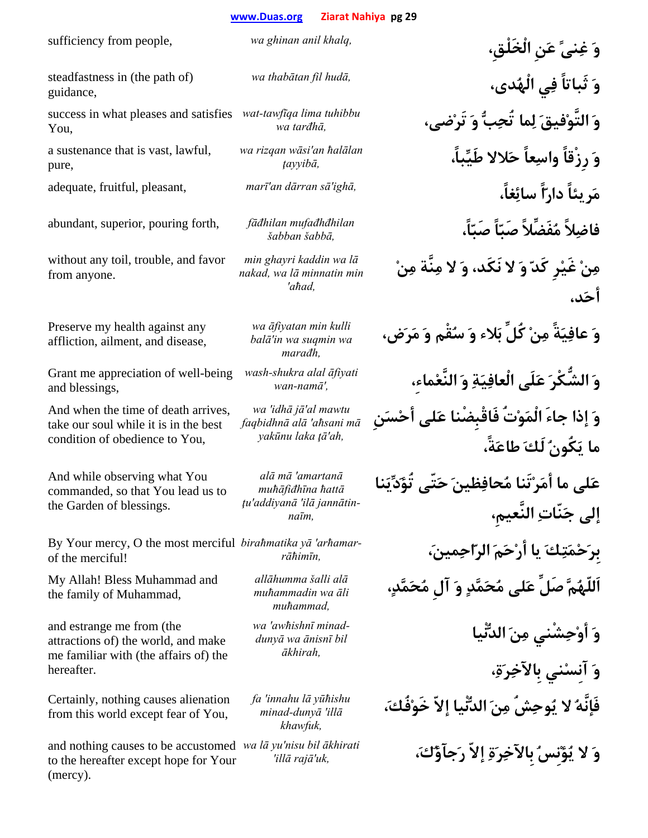steadfastness in (the path of) guidance,

success in what pleases and satisfies *wat-tawfīqa lima tuhibbu*  You,

a sustenance that is vast, lawful, pure,

without any toil, trouble, and favor from anyone.

Preserve my health against any affliction, ailment, and disease,

Grant me appreciation of well-being and blessings,

And when the time of death arrives, take our soul while it is in the best condition of obedience to You,

And while observing what You commanded, so that You lead us to the Garden of blessings.

By Your mercy, O the most merciful *birahmatika yā 'arhamar* of the merciful!

My Allah! Bless Muhammad and the family of Muhammad,

and estrange me from (the attractions of) the world, and make me familiar with (the affairs of) the hereafter.

Certainly, nothing causes alienation from this world except fear of You,

and nothing causes to be accustomed *wa lā yu'nisu bil ākhirati*  to the hereafter except hope for Your (mercy).

*wa rizqan wāsi'an ħalālan* 

abundant, superior, pouring forth, *fāđhilan mufađhđhilan* 

*min ghayri kaddin wa lā nakad, wa lā minnatin min 'aħad,*

*wa āfiyatan min kulli balā'in wa suqmin wa marađh,*

*wash-shukra alal āfiyati* 

*wa 'idhā jā'al mawtu faqbidhnā alā 'aħsani mā yakūnu laka ţā'ah,*

*alā mā 'amartanā muħāfiđhīna ħattā ţu'addiyanā 'ilā jannātinnaīm,*

*allāhumma šalli alā muħammadin wa āli muħammad,*

*wa 'awħishnī minaddunyā wa ānisnī bil ākhirah,*

*fa 'innahu lā yūħishu minad-dunyā 'illā khawfuk,*

sufficiency from people, *wa ghinan anil khalq,* **،الْخَلْقِ نَِع ًنىِغ َو وَ ثَباتاً فِي الْهُدى،** *,hudā fil thabātan wa* **وَ التَّوْفيقَ لِما تُحِبُّ وَ تَرْضى،** *,tarđhā wa* **وَ رِزْقاً واسِعاً حَلالا طَيِّباً،** *,ţayyib<sup>ā</sup>* adequate, fruitful, pleasant, *marī'an dārran sā'ighā,* **،غاًِسائ اًّدار ريئاًَم فاضِلاً مُفَضِّلاً صَبّاً صَبّاً،** *,šabbā šabban* **مِنْ غَيْرِ كَدّ وَ لا نَكَد، وَ لا مِنَّة مِنْ أحَد، وَ عافِيَةً مِنْ كُلِّ بَلاء وَ سُقْم وَ مَرَض، وَ الشُّكْرَ عَلَى الْعافِيَةِ وَ النَّعْماء،ِ** *,'namā-wan* **وَ إذا جاءَ الْمَوْتُ فَاقْبِضْنا عَلى أحْسَنِ ما يَكُونُ لَكَ طاعَةً، عَلى ما أمَرْتَنا مُحافِظينَ حَتّى تُؤَدِّيَنا إلى جَنّاتِ النَّعيمِ، بِرَحْمَتِكَ يا أرْحَمَ الرّاحِمين،َ** *,rāħimīn-***اَللّهُمَّ صَلِّ عَلى مُحَمَّدٍ وَ آلِ مُحَمَّد،ٍ وَ أوْحِشْني مِنَ الدُّنْيا وَ آنِسْني بِالآخِرَة،ِ فَإنَّهُ لا يُوحِشُ مِنَ الدُّنْيا إلاّ خَوْفُك،َ وَ لا يُؤْنِسُ بِالآخِرَةِ إلاّ رَجآؤُك،َ** *,uk'rajā illā'*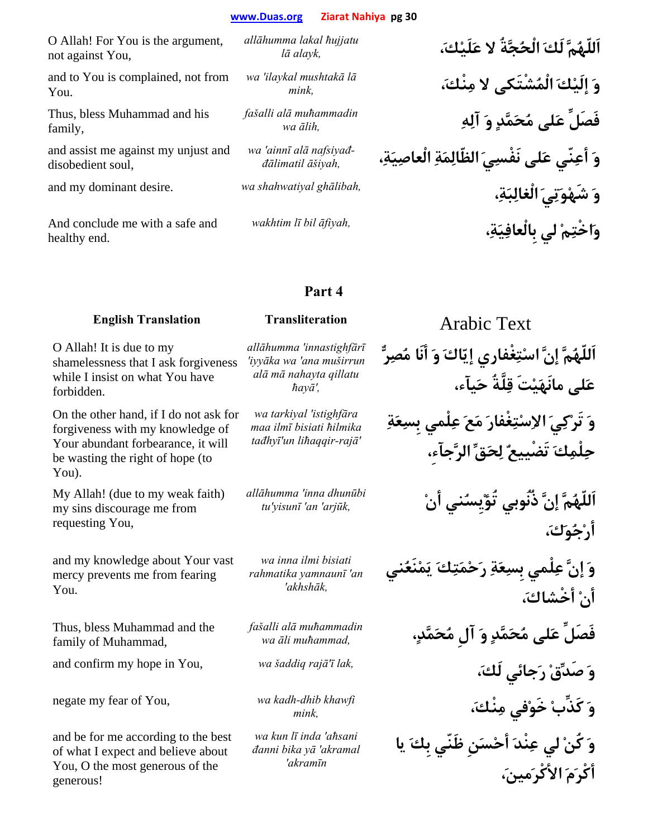| O Allah! For You is the argument,<br>not against You,    | allāhumma lakal hujjatu<br>lā alayk,         | اَللّهُمَّ لَكَ الْحُجَّةُ لا عَلَيْكَ،           |
|----------------------------------------------------------|----------------------------------------------|---------------------------------------------------|
| and to You is complained, not from<br>You.               | wa 'ilaykal mushtakā lā<br>mink.             | وَ إِلَيْكَ الْمُشْتَكِي لا مِنْكَ،               |
| Thus, bless Muhammad and his<br>family,                  | fašalli alā muhammadin<br>wa ālih,           | فَصَلِّ عَلى مُحَمَّدٍ وَ آلِهِ                   |
| and assist me against my unjust and<br>disobedient soul, | wa 'ainnī alā nafsiyađ-<br>đālimatil āšiyah, | وَ أَعِنّي عَلى نَفْسِيَ الظّالِمَةِ الْعاصِيَةِ، |
| and my dominant desire.                                  | wa shahwatiyal ghālibah,                     | وَ شَهْوَتِيَ الْغَالِبَةِ،                       |
| And conclude me with a safe and<br>healthy end.          | wakhtim lī bil āfiyah,                       | وَاخْتِمْ لي بِالْعافِيَةِ،                       |
|                                                          |                                              |                                                   |

## **Part 4**

## **English Translation Transliteration Arabic Text**

# O Allah! It is due to my shamelessness that I ask forgiveness

while I insist on what You have forbidden. On the other hand, if I do not ask for forgiveness with my knowledge of Your abundant forbearance, it will

be wasting the right of hope (to You).

My Allah! (due to my weak faith) my sins discourage me from requesting You,

and my knowledge about Your vast mercy prevents me from fearing You.

Thus, bless Muhammad and the family of Muhammad,

negate my fear of You, *wa kadh-dhib khawfi* 

and be for me according to the best of what I expect and believe about You, O the most generous of the generous!

*allāhumma 'innastighfārī 'iyyāka wa 'ana muširrun alā mā nahayta qillatu ħayā',*

*wa tarkiyal 'istighfāra maa ilmī bisiati ħilmika tađhyī'un liħaqqir-rajā'*

*allāhumma 'inna dhunūbi* 

*wa inna ilmi bisiati rahmatika yamnaunī 'an 'akhshāk,*

*fašalli alā muħammadin* 

*wa kun lī inda 'aħsani đanni bika yā 'akramal 'akramīn*

**اَللّهُمَّ إنَّ اسْتِغْفاري إيّاكَ وَ أنَا مُصِرٌّ عَلى مانَهَيْتَ قِلَّةُ حَيآء،**

**وَ تَرْكِيَ الاِسْتِغْفارَ مَعَ عِلْمي بِسِعَةِ حِلْمِكَ تَضْييعٌ لِحَقِّ الرَّجآء،ِ**

**اَللّهُمَّ إنَّ ذُنُوبي تُؤْيِسُني أنْ** *,arjūk 'an 'yisunī'tu* **أرْجُوَك،َ**

> **وَ إنَّ عِلْمي بِسِعَةِ رَحْمَتِكَ يَمْنَعُني أنْ أخْشاك،َ**

**فَصَلِّ عَلى مُحَمَّدٍ وَ آلِ مُحَمَّد،ٍ** *,muħammad āli wa* and confirm my hope in You, *wa šaddiq rajā'ī lak,* **،َلَك جائيَر ْصَدِّق َو وَ كَذِّبْ خَوْفي مِنْك،َ** *,mink*

**وَ كُنْ لي عِنْدَ أحْسَنِ ظَنّي بِكَ يا أكْرَمَ الأكْرَمين،َ**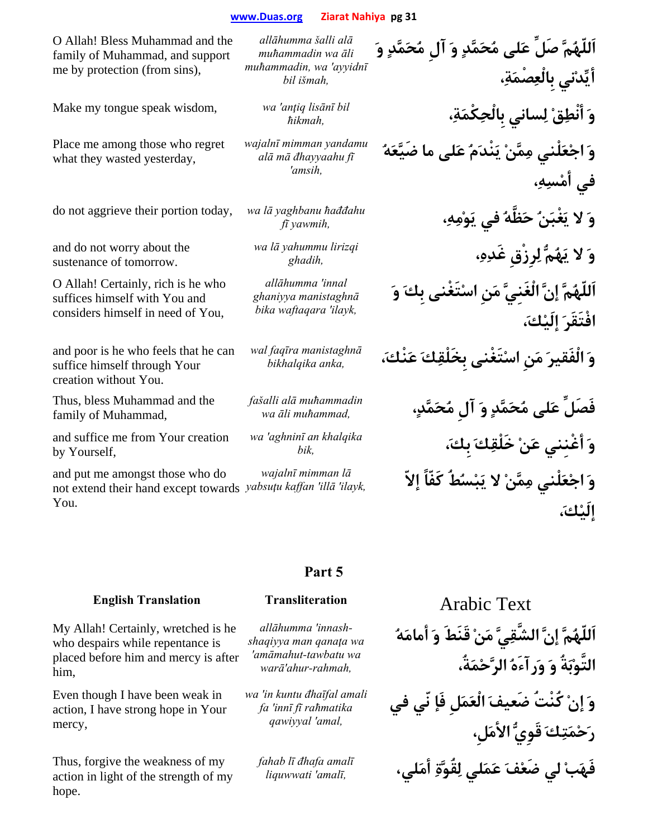O Allah! Bless Muhammad and the family of Muhammad, and support me by protection (from sins),

Make my tongue speak wisdom, *wa 'anţiq lisānī bil* 

Place me among those who regret what they wasted yesterday,

do not aggrieve their portion today, *wa lā yaghbanu ħađđahu* 

and do not worry about the sustenance of tomorrow.

O Allah! Certainly, rich is he who suffices himself with You and considers himself in need of You,

and poor is he who feels that he can suffice himself through Your creation without You.

Thus, bless Muhammad and the family of Muhammad,

and suffice me from Your creation by Yourself,

and put me amongst those who do not extend their hand except towards yabsutu kaffan 'illā 'ilayk, You. *wajalnī mimman lā*

*allāhumma šalli alā muħammadin wa āli muħammadin, wa 'ayyidnī bil išmah,*

*wajalnī mimman yandamu alā mā đhayyaahu fī 'amsih,*

*wa lā yahummu lirizqi* 

*allāhumma 'innal ghaniyya manistaghnā bika waftaqara 'ilayk,*

*wal faqīra manistaghnā*

*fašalli alā muħammadin* 

*wa 'aghninī an khalqika* 

**اَللّهُمَّ صَلِّ عَلى مُحَمَّدٍ وَ آلِ مُحَمَّدٍ وَ أيِّدْني بِالْعِصْمَة،ِ وَ أنْطِقْ لِساني بِالْحِكْمَة،ِ** *,ħikmah* **وَ اجْعَلْني مِمَّنْ يَنْدَمُ عَلى ما ضَيَّعَهُ في أمْسِه،ِ وَ لا يَغْبَنُ حَظَّهُ في يَوْمِه،ِ** *,yawmih f<sup>ī</sup>* **وَ لا يَهُمُّ لِرِزْقِ غَدِه،ِ** *,ghadih* **اَللّهُمَّ إنَّ الْغَنِيَّ مَنِ اسْتَغْنى بِكَ وَ افْتَقَرَ إلَيْك،َ وَ الْفَقيرَ مَنِ اسْتَغْنى بِخَلْقِكَ عَنْك،َ** *,anka bikhalqika* **فَصَلِّ عَلى مُحَمَّدٍ وَ آلِ مُحَمَّد،ٍ** *,muħammad āli wa* **وَ أغْنِني عَنْ خَلْقِكَ بِك،َ** *,bik* **وَ اجْعَلْني مِمَّنْ لا يَبْسُطُ كَفّاً إلاّ** *,ilayk 'illā 'kaffan yabsuţ<sup>u</sup>* **إلَيْك،َ**

## **Part 5**

*allāhumma 'innashshaqiyya man qanaţa wa 'amāmahut-tawbatu wa warā'ahur-rahmah,*

> *wa 'in kuntu đhaīfal amali fa 'innī fī raħmatika qawiyyal 'amal,*

*fahab lī đhafa amalī*

**اَللّهُمَّ إنَّ الشَّقِيَّ مَنْ قَنَطَ وَ أمامَهُ التَّوْبَةُ وَ وَرآءَهُ الرَّحْمَةُ،**

**وَ إنْ كُنْتُ ضَعيفَ الْعَمَلِ فَإ نّي في رَحْمَتِكَ قَوِيُّ الأمَلِ، فَهَبْ لي ضَعْفَ عَمَلي لِقُوَّةِ أمَلي،** *,amalī 'liquwwati*

**English Translation Transliteration Arabic Text** 

My Allah! Certainly, wretched is he who despairs while repentance is placed before him and mercy is after him,

Even though I have been weak in action, I have strong hope in Your mercy,

Thus, forgive the weakness of my action in light of the strength of my hope.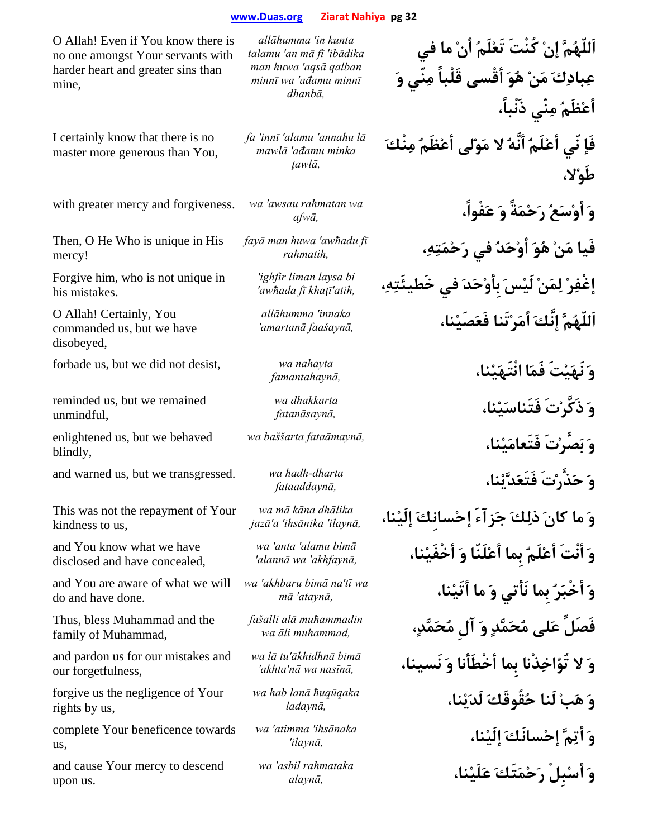O Allah! Even if You know there is no one amongst Your servants with harder heart and greater sins than mine,

*talamu 'an mā fī 'ibādika man huwa 'aqsā qalban dhanbā,*

I certainly know that there is no master more generous than You,

with greater mercy and forgiveness. *wa 'awsau raħmatan wa* 

Then, O He Who is unique in His mercy!

Forgive him, who is not unique in his mistakes.

O Allah! Certainly, You commanded us, but we have disobeyed,

forbade us, but we did not desist, *wa nahayta* 

reminded us, but we remained unmindful,

enlightened us, but we behaved blindly,

and warned us, but we transgressed. *wa ħadh-dharta* 

This was not the repayment of Your kindness to us,

and You know what we have disclosed and have concealed,

and You are aware of what we will do and have done.

Thus, bless Muhammad and the family of Muhammad,

and pardon us for our mistakes and our forgetfulness,

forgive us the negligence of Your rights by us,

complete Your beneficence towards us,

and cause Your mercy to descend upon us.

*minnī wa 'ađamu minnī*

*allāhumma 'in kunta* 

*fa 'innī 'alamu 'annahu lā mawlā 'ađamu minka ţawlā,*

*fayā man huwa 'awħadu fī*

*'ighfir liman laysa bi* 

*allāhumma 'innaka* 

*wa dhakkarta* 

*wa mā kāna dhālika* 

*wa 'anta 'alamu bimā*

*wa 'akhbaru bimā na'tī wa* 

*fašalli alā muħammadin* 

*wa lā tu'ākhidhnā bimā*

*wa hab lanā ħuqūqaka* 

*wa 'atimma 'iħsānaka* 

*wa 'asbil raħmataka* 

**عِبادِكَ مَنْ هُوَ أقْسى قَلْباً مِنّي وَ أعْظَمُ مِنّي ذَنْباً، فَإ نّي أعْلَمُ أنَّهُ لا مَوْلى أعْظَمُ مِنْكَ طَوْلا، وَ أوْسَعُ رَحْمَةً وَ عَفْواً،** *,afw<sup>ā</sup>* **فَيا مَنْ هُوَ أوْحَدُ في رَحْمَتِه،ِ** *,raħmatih* **إغْفِرْ لِمَنْ لَيْسَ بِأوْحَدَ في خَطيئَتِه،ِ** *,atih'khaţī fī awħada'* **اَللّهُمَّ إنَّكَ أمَرْتَنا فَعَصَيْنا،** *,faašaynā amartanā'*

**اَللّهُمَّ إنْ كُنْتَ تَعْلَمُ أنْ ما في**

**وَ نَهَيْتَ فَمَا انْتَهَيْنا،** *,famantahayn<sup>ā</sup>* **وَ ذَكَّرْتَ فَتَناسَيْنا،** *,fatanāsayn<sup>ā</sup>* **وَ بَصَّرْتَ فَتَعامَيْنا،** *,fataāmaynā baššarta wa* **وَ حَذَّرْتَ فَتَعَدَّيْنا،** *,fataaddayn<sup>ā</sup>* **وَ ما كانَ ذلِكَ جَزآءَ إحْسانِكَ إلَيْنا،** *,ilaynā 'ihsānika 'a'jaz<sup>ā</sup>* **وَ أنْتَ أعْلَمُ بِما أعْلَنّا وَ أخْفَيْنا،** *,akhfaynā 'wa alannā'* **وَ أخْبَرُ بِما نَأْتي وَ ما أتَيْنا،** *,ataynā 'm<sup>ā</sup>* **فَصَلِّ عَلى مُحَمَّدٍ وَ آلِ مُحَمَّد،ٍ** *,muħammad āli wa* **وَ لا تُؤاخِذْنا بِما أخْطَأْنا وَ نَسينا،** *,nasīnā wa nā'akhta'* **وَ هَبْ لَنا حُقُوقَكَ لَدَيْنا،** *,ladayn<sup>ā</sup>* **وَ أتِمَّ إحْسانَكَ إلَيْنا،** *,ilaynā'* **وَ أسْبِلْ رَحْمَتَكَ عَلَيْنا،** *,alayn<sup>ā</sup>*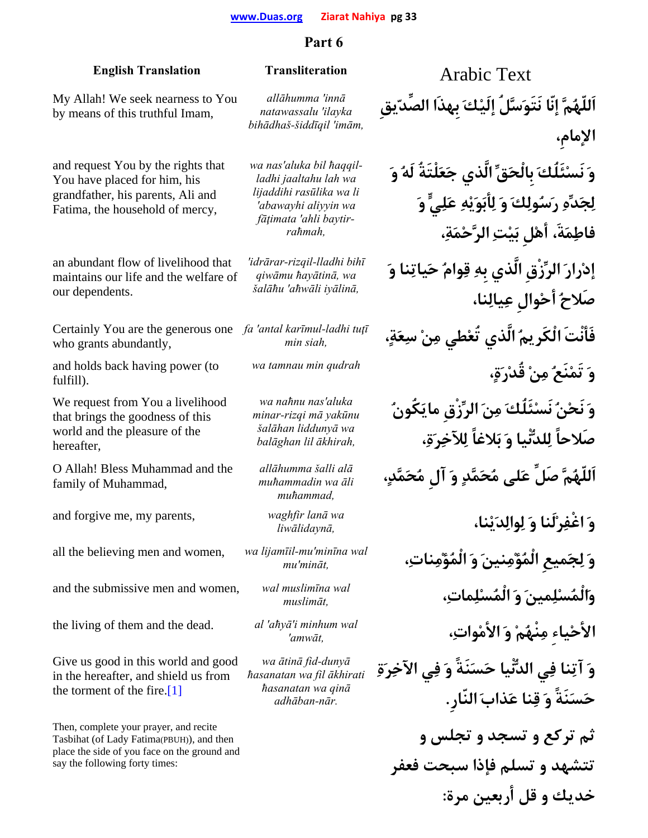# **Part 6**

| <b>English Translation</b>                                                                                                                                            | <b>Transliteration</b>                                                                                                                     | <b>Arabic Text</b>                                                                                                                          |
|-----------------------------------------------------------------------------------------------------------------------------------------------------------------------|--------------------------------------------------------------------------------------------------------------------------------------------|---------------------------------------------------------------------------------------------------------------------------------------------|
| My Allah! We seek nearness to You<br>by means of this truthful Imam,                                                                                                  | allāhumma 'innā<br>natawassalu 'ilayka<br>bihādhaš-šiddīqil 'imām,                                                                         | اَللّهُمَّ إنّا نَتَوَسَّلُ إِلَيْكَ بِهذَا الصِّدّيقِ<br>الإمام،                                                                           |
| and request You by the rights that<br>You have placed for him, his<br>grandfather, his parents, Ali and<br>Fatima, the household of mercy,                            | wa nas'aluka bil haqqil-<br>ladhi jaaltahu lah wa<br>lijaddihi rasūlika wa li<br>'abawayhi aliyyin wa<br>fāțimata 'ahli baytir-<br>raħmah, | وَ نَسْئَلُكَ بِالْحَقِّ الَّذي جَعَلْتَةُ لَهُ وَ<br>لِجَدِّهِ رَسُولِكَ وَ لِأَبَوَيْهِ عَلِيٍّ وَ<br>فاطِمَةَ، أهْلِ بَيْتِ الرَّحْمَةِ، |
| an abundant flow of livelihood that<br>maintains our life and the welfare of<br>our dependents.                                                                       | 'idrārar-rizqil-lladhi bihī<br>qiwāmu hayātinā, wa<br>šalāhu 'ahwāli iyālinā,                                                              | إدْرارَ الرِّزْقِ الَّذي بِهِ قِوامٌ حَياتِنا وَ<br>صَلاحُ أَحْوالٍ عِيالِنا،                                                               |
| Certainly You are the generous one<br>who grants abundantly,                                                                                                          | fa 'antal karīmul-ladhi tutī<br>min siah,                                                                                                  | فَأَنْتَ الْكَرِيمُ الَّذي تُعْطى مِنْ سِعَةٍ،                                                                                              |
| and holds back having power (to<br>fulfill).                                                                                                                          | wa tamnau min qudrah                                                                                                                       | وَ تَمْنَعُ مِنْ قُدْرَةٍ،                                                                                                                  |
| We request from You a livelihood<br>that brings the goodness of this<br>world and the pleasure of the<br>hereafter,                                                   | wa nahnu nas'aluka<br>minar-rizqi mā yakūnu<br>šalāhan liddunyā wa<br>balāghan lil ākhirah,                                                | وَ نَحْنُ نَسْئَلُكَ مِنَ الرِّزْقِ مايَكُونُ<br>صَلاحاً لِلدُّنِّيا وَ بَلاغاً لِلآخِرَةِ،                                                 |
| O Allah! Bless Muhammad and the<br>family of Muhammad,                                                                                                                | allāhumma šalli alā<br>muhammadin wa āli<br>muhammad,                                                                                      | اَللّهُمَّ صَلِّ عَلى مُحَمَّدٍ وَ آل مُحَمَّدٍ،                                                                                            |
| and forgive me, my parents,                                                                                                                                           | waghfir lanā wa<br>liwālidaynā,                                                                                                            | وَ اغْفِرْلَنا وَ لِوالِدَيْنا،                                                                                                             |
| all the believing men and women,                                                                                                                                      | wa lijamīil-mu'minīna wal<br>$mu'min\bar{a}t$ ,                                                                                            | وَ لِجَميعِ الْمُؤْمِنينَ وَ الْمُؤْمِناتِ،                                                                                                 |
| and the submissive men and women,                                                                                                                                     | wal muslimīna wal<br>muslimāt,                                                                                                             | والْمُسْلِمينَ وَ الْمُسْلِماتِ،                                                                                                            |
| the living of them and the dead.                                                                                                                                      | al 'ahyā'i minhum wal<br>'amwāt,                                                                                                           | الأحْياء مِنْهُمْ وَ الأَمْواتِ،                                                                                                            |
| Give us good in this world and good<br>in the hereafter, and shield us from<br>the torment of the fire.[1]                                                            | wa ātinā fid-dunyā<br>hasanatan wa fil ākhirati<br>hasanatan wa qinā<br>adhāban-nār.                                                       | وَ آتِنا فِى الدُّنْيا حَسَنَةً وَ فِي الآخِرَةِ<br>حَسَنَةً وَ قِنا عَذابَ النّارِ .                                                       |
| Then, complete your prayer, and recite<br>Tasbihat (of Lady Fatima(PBUH)), and then<br>place the side of you face on the ground and<br>say the following forty times: |                                                                                                                                            | ثم ترکع و تسجد و تجلس و<br>تتشهد و تسلم فإذا سبحت فعفر                                                                                      |
|                                                                                                                                                                       |                                                                                                                                            | خديك و قل أربعين مرة:                                                                                                                       |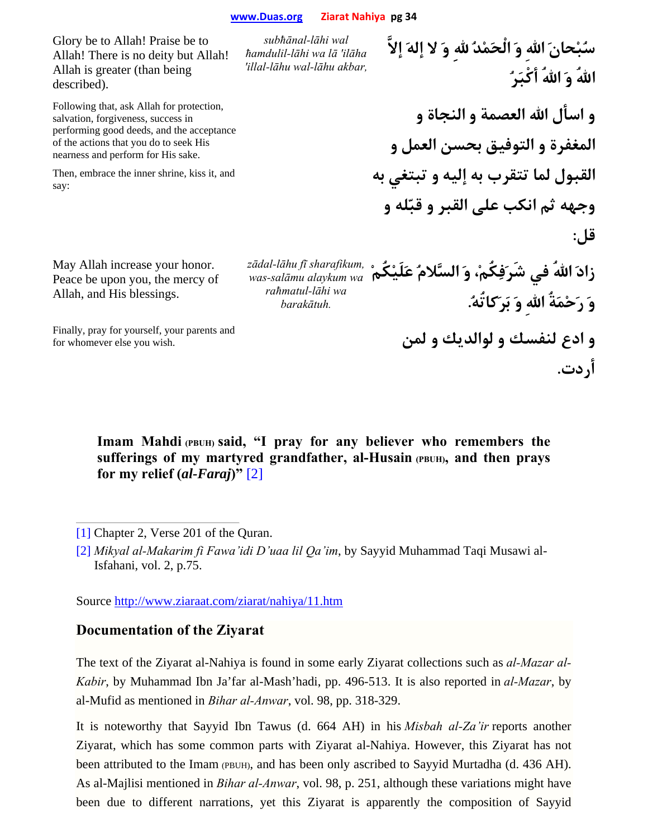Glory be to Allah! Praise be to Allah! There is no deity but Allah! Allah is greater (than being described). *subħānal-lāhi wal ħamdulil-lāhi wa lā 'ilāha 'illal-lāhu wal-lāhu akbar,* **سُبْحانَ االلهِ وَ الْحَمْدُ اللهِ وَ لا إلهَ إلاَّ االلهُ وَ االلهُ أكْبَرُ** Following that, ask Allah for protection, salvation, forgiveness, success in performing good deeds, and the acceptance of the actions that you do to seek His nearness and perform for His sake. Then, embrace the inner shrine, kiss it, and say: **و اسأل االله العصمة و النجاة و المغفرة و التوفيق بحسن العمل و القبول لما تتقرب به إليه و تبتغي به وجهه ثم انكب على القبر و قبّله و قل:** May Allah increase your honor. Peace be upon you, the mercy of Allah, and His blessings. *zādal-lāhu fī sharafikum, was-salāmu alaykum wa*  **زادَ االلهُ في شَرَفِكُم،ْ وَ السَّلامُ عَلَيْكُمْ** *raħmatul-lāhi wa barakātuh.* **وَ رَحْمَةُ االلهِ وَ بَرَكاتُه.ُ** Finally, pray for yourself, your parents and **و ادع لنفسك و لوالديك و لمن** .wish you else whomever for **أردت.**

Imam Mahdi (PBUH) said, "I pray for any believer who remembers the **sufferings of my martyred grandfather, al-Husain (PBUH), and then prays for my relief (***al-Faraj***)"** [2]

[1] Chapter 2, Verse 201 of the Quran.

[2] *Mikyal al-Makarim fi Fawa'idi D'uaa lil Qa'im*, by Sayyid Muhammad Taqi Musawi al-Isfahani, vol. 2, p.75.

Source http://www.ziaraat.com/ziarat/nahiya/11.htm

## **Documentation of the Ziyarat**

The text of the Ziyarat al-Nahiya is found in some early Ziyarat collections such as *al-Mazar al-Kabir*, by Muhammad Ibn Ja'far al-Mash'hadi, pp. 496-513. It is also reported in *al-Mazar*, by al-Mufid as mentioned in *Bihar al-Anwar*, vol. 98, pp. 318-329.

It is noteworthy that Sayyid Ibn Tawus (d. 664 AH) in his *Misbah al-Za'ir* reports another Ziyarat, which has some common parts with Ziyarat al-Nahiya. However, this Ziyarat has not been attributed to the Imam (PBUH), and has been only ascribed to Sayyid Murtadha (d. 436 AH). As al-Majlisi mentioned in *Bihar al-Anwar*, vol. 98, p. 251, although these variations might have been due to different narrations, yet this Ziyarat is apparently the composition of Sayyid